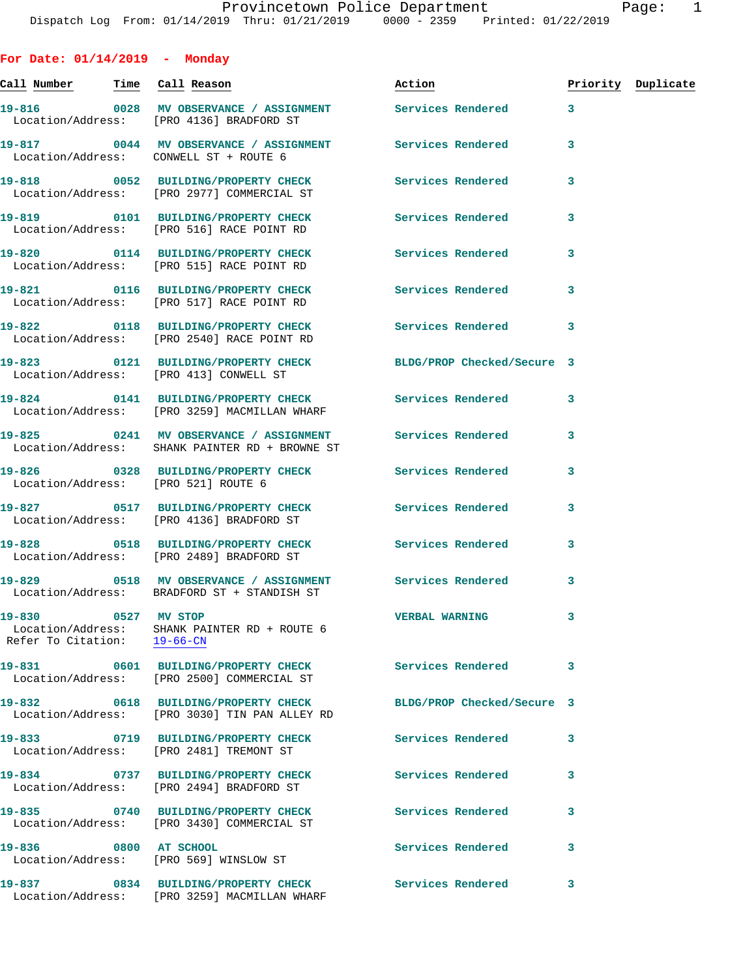**For Date: 01/14/2019 - Monday Call Number Time Call Reason Action Priority Duplicate 19-816 0028 MV OBSERVANCE / ASSIGNMENT Services Rendered 3**  Location/Address: [PRO 4136] BRADFORD ST **19-817 0044 MV OBSERVANCE / ASSIGNMENT Services Rendered 3**  Location/Address: CONWELL ST + ROUTE 6 **19-818 0052 BUILDING/PROPERTY CHECK Services Rendered 3**  Location/Address: [PRO 2977] COMMERCIAL ST **19-819 0101 BUILDING/PROPERTY CHECK Services Rendered 3**  Location/Address: [PRO 516] RACE POINT RD **19-820 0114 BUILDING/PROPERTY CHECK Services Rendered 3**  Location/Address: [PRO 515] RACE POINT RD **19-821 0116 BUILDING/PROPERTY CHECK Services Rendered 3**  Location/Address: [PRO 517] RACE POINT RD **19-822 0118 BUILDING/PROPERTY CHECK Services Rendered 3**  Location/Address: [PRO 2540] RACE POINT RD **19-823 0121 BUILDING/PROPERTY CHECK BLDG/PROP Checked/Secure 3**  Location/Address: [PRO 413] CONWELL ST **19-824 0141 BUILDING/PROPERTY CHECK Services Rendered 3**  Location/Address: [PRO 3259] MACMILLAN WHARF **19-825 0241 MV OBSERVANCE / ASSIGNMENT Services Rendered 3**  Location/Address: SHANK PAINTER RD + BROWNE ST **19-826 0328 BUILDING/PROPERTY CHECK Services Rendered 3**  Location/Address: [PRO 521] ROUTE 6 **19-827 0517 BUILDING/PROPERTY CHECK Services Rendered 3**  Location/Address: [PRO 4136] BRADFORD ST **19-828 0518 BUILDING/PROPERTY CHECK Services Rendered 3**  Location/Address: [PRO 2489] BRADFORD ST **19-829 0518 MV OBSERVANCE / ASSIGNMENT Services Rendered 3**  Location/Address: BRADFORD ST + STANDISH ST **19-830 0527 MV STOP VERBAL WARNING 3**  Location/Address: SHANK PAINTER RD + ROUTE 6 Refer To Citation: 19-66-CN **19-831 0601 BUILDING/PROPERTY CHECK Services Rendered 3**  Location/Address: [PRO 2500] COMMERCIAL ST **19-832 0618 BUILDING/PROPERTY CHECK BLDG/PROP Checked/Secure 3**  Location/Address: [PRO 3030] TIN PAN ALLEY RD **19-833 0719 BUILDING/PROPERTY CHECK Services Rendered 3**  Location/Address: [PRO 2481] TREMONT ST **19-834 0737 BUILDING/PROPERTY CHECK Services Rendered 3**  Location/Address: [PRO 2494] BRADFORD ST **19-835 0740 BUILDING/PROPERTY CHECK Services Rendered 3** 

Location/Address: [PRO 569] WINSLOW ST

**19-837 0834 BUILDING/PROPERTY CHECK Services Rendered 3**  Location/Address: [PRO 3259] MACMILLAN WHARF

Location/Address: [PRO 3430] COMMERCIAL ST

**19-836 0800 AT SCHOOL Services Rendered 3**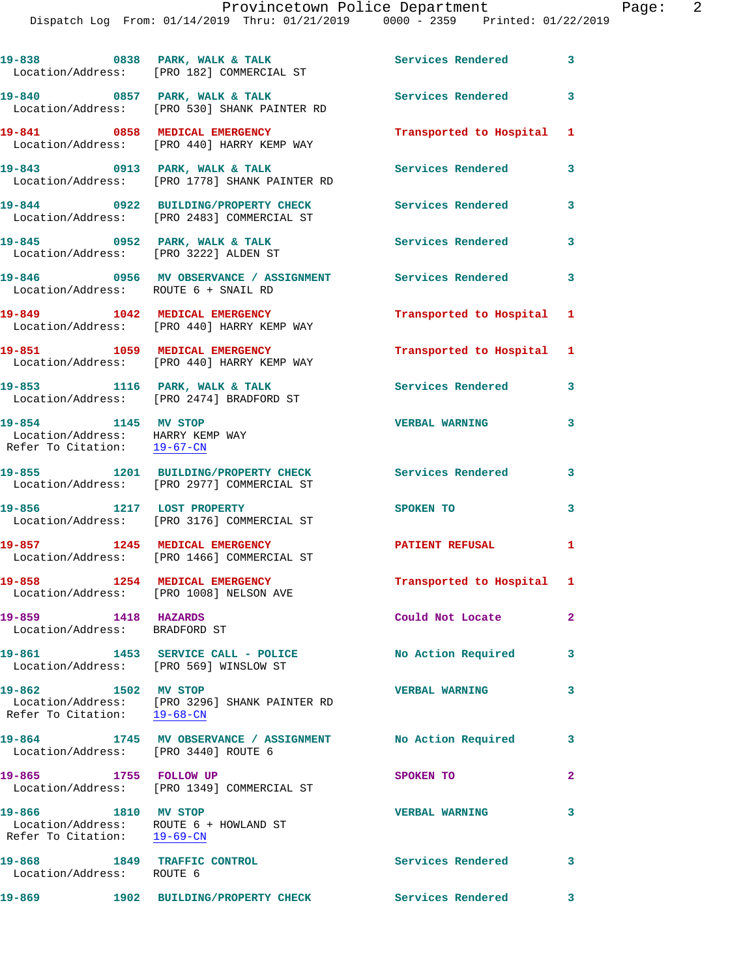|                                                                                              | 19-838 0838 PARK, WALK & TALK<br>Location/Address: [PRO 182] COMMERCIAL ST        | Services Rendered 3       |                         |
|----------------------------------------------------------------------------------------------|-----------------------------------------------------------------------------------|---------------------------|-------------------------|
|                                                                                              | 19-840 0857 PARK, WALK & TALK<br>Location/Address: [PRO 530] SHANK PAINTER RD     | Services Rendered 3       |                         |
|                                                                                              | 19-841 0858 MEDICAL EMERGENCY<br>Location/Address: [PRO 440] HARRY KEMP WAY       | Transported to Hospital 1 |                         |
|                                                                                              | 19-843 0913 PARK, WALK & TALK<br>Location/Address: [PRO 1778] SHANK PAINTER RD    | <b>Services Rendered</b>  | 3                       |
|                                                                                              | 19-844 0922 BUILDING/PROPERTY CHECK<br>Location/Address: [PRO 2483] COMMERCIAL ST | <b>Services Rendered</b>  | 3                       |
| Location/Address: [PRO 3222] ALDEN ST                                                        | $19-845$ 0952 PARK, WALK & TALK                                                   | <b>Services Rendered</b>  | $\overline{\mathbf{3}}$ |
| Location/Address: ROUTE 6 + SNAIL RD                                                         | 19-846 69956 MV OBSERVANCE / ASSIGNMENT Services Rendered 3                       |                           |                         |
|                                                                                              | 19-849 1042 MEDICAL EMERGENCY<br>Location/Address: [PRO 440] HARRY KEMP WAY       | Transported to Hospital 1 |                         |
|                                                                                              | 19-851 1059 MEDICAL EMERGENCY<br>Location/Address: [PRO 440] HARRY KEMP WAY       | Transported to Hospital 1 |                         |
|                                                                                              | 19-853 1116 PARK, WALK & TALK<br>Location/Address: [PRO 2474] BRADFORD ST         | Services Rendered 3       |                         |
| 19-854 1145 MV STOP<br>Location/Address: HARRY KEMP WAY<br>Refer To Citation: 19-67-CN       |                                                                                   | <b>VERBAL WARNING</b>     | 3                       |
|                                                                                              | 19-855 1201 BUILDING/PROPERTY CHECK<br>Location/Address: [PRO 2977] COMMERCIAL ST | Services Rendered 3       |                         |
| 19-856 1217 LOST PROPERTY                                                                    | Location/Address: [PRO 3176] COMMERCIAL ST                                        | <b>SPOKEN TO</b>          | 3                       |
|                                                                                              | 19-857 1245 MEDICAL EMERGENCY<br>Location/Address: [PRO 1466] COMMERCIAL ST       | PATIENT REFUSAL 1         |                         |
|                                                                                              | Location/Address: [PRO 1008] NELSON AVE                                           | Transported to Hospital 1 |                         |
| 19-859 1418 HAZARDS<br>Location/Address: BRADFORD ST                                         |                                                                                   | Could Not Locate 2        |                         |
|                                                                                              | 19-861 1453 SERVICE CALL - POLICE<br>Location/Address: [PRO 569] WINSLOW ST       | No Action Required        | 3                       |
| 19-862 1502 MV STOP                                                                          | Location/Address: [PRO 3296] SHANK PAINTER RD<br>Refer To Citation: 19-68-CN      | <b>VERBAL WARNING</b>     | 3                       |
| Location/Address: [PRO 3440] ROUTE 6                                                         | 19-864 1745 MV OBSERVANCE / ASSIGNMENT No Action Required 3                       |                           |                         |
| 19-865 1755 FOLLOW UP                                                                        | Location/Address: [PRO 1349] COMMERCIAL ST                                        | SPOKEN TO                 | $\overline{a}$          |
| 19-866 1810 MV STOP<br>Location/Address: ROUTE 6 + HOWLAND ST<br>Refer To Citation: 19-69-CN |                                                                                   | <b>VERBAL WARNING</b>     | 3                       |
| 19-868<br>Location/Address: ROUTE 6                                                          | 1849 TRAFFIC CONTROL                                                              | Services Rendered         | $\mathbf{3}$            |
| 19-869                                                                                       | 1902 BUILDING/PROPERTY CHECK Services Rendered                                    |                           | 3                       |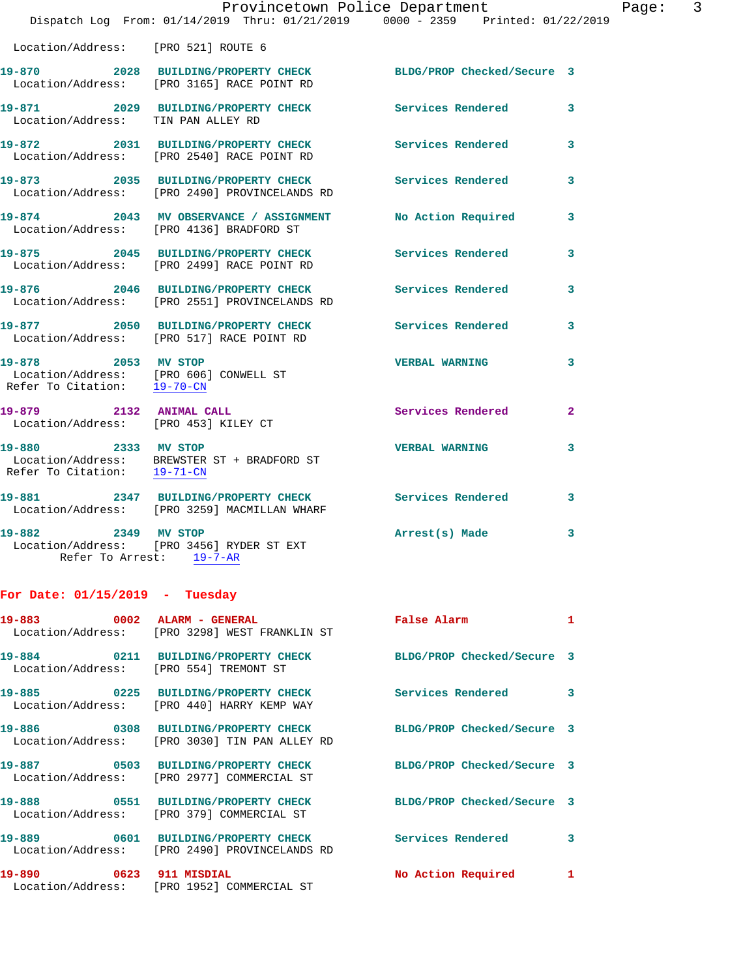|                                                                 | Provincetown Police Department<br>Dispatch Log From: 01/14/2019 Thru: 01/21/2019 0000 - 2359 Printed: 01/22/2019 |                            |   |
|-----------------------------------------------------------------|------------------------------------------------------------------------------------------------------------------|----------------------------|---|
| Location/Address: [PRO 521] ROUTE 6                             |                                                                                                                  |                            |   |
|                                                                 | 19-870 2028 BUILDING/PROPERTY CHECK BLDG/PROP Checked/Secure 3<br>Location/Address: [PRO 3165] RACE POINT RD     |                            |   |
| Location/Address: TIN PAN ALLEY RD                              | 19-871 2029 BUILDING/PROPERTY CHECK                                                                              | <b>Services Rendered</b>   | 3 |
|                                                                 | 19-872 2031 BUILDING/PROPERTY CHECK<br>Location/Address: [PRO 2540] RACE POINT RD                                | <b>Services Rendered</b>   | 3 |
|                                                                 | 19-873 2035 BUILDING/PROPERTY CHECK<br>Location/Address: [PRO 2490] PROVINCELANDS RD                             | Services Rendered          | 3 |
|                                                                 | 19-874 2043 MV OBSERVANCE / ASSIGNMENT<br>Location/Address: [PRO 4136] BRADFORD ST                               | No Action Required         | 3 |
|                                                                 | 19-875 2045 BUILDING/PROPERTY CHECK Services Rendered<br>Location/Address: [PRO 2499] RACE POINT RD              |                            | 3 |
|                                                                 | 19-876 2046 BUILDING/PROPERTY CHECK<br>Location/Address: [PRO 2551] PROVINCELANDS RD                             | <b>Services Rendered</b>   | 3 |
|                                                                 | 19-877 2050 BUILDING/PROPERTY CHECK<br>Location/Address: [PRO 517] RACE POINT RD                                 | <b>Services Rendered</b>   | 3 |
|                                                                 | 19-878 2053 MV STOP<br>Location/Address: [PRO 606] CONWELL ST<br>Refer To Citation: 19-70-CN                     | <b>VERBAL WARNING</b>      | 3 |
| 19-879 2132 ANIMAL CALL<br>Location/Address: [PRO 453] KILEY CT |                                                                                                                  | Services Rendered          | 2 |
| 19-880 2333 MV STOP<br>Refer To Citation: 19-71-CN              | Location/Address: BREWSTER ST + BRADFORD ST                                                                      | <b>VERBAL WARNING</b>      | 3 |
|                                                                 | 19-881 2347 BUILDING/PROPERTY CHECK<br>Location/Address: [PRO 3259] MACMILLAN WHARF                              | <b>Services Rendered</b>   | 3 |
| 2349 MV STOP<br>19-882                                          | Location/Address: [PRO 3456] RYDER ST EXT<br>Refer To Arrest: 19-7-AR                                            | Arrest(s) Made             | 3 |
| For Date: $01/15/2019$ - Tuesday                                |                                                                                                                  |                            |   |
| 19-883                                                          | 0002 ALARM - GENERAL<br>Location/Address: [PRO 3298] WEST FRANKLIN ST                                            | False Alarm                | 1 |
|                                                                 | 19-884 0211 BUILDING/PROPERTY CHECK<br>Location/Address: [PRO 554] TREMONT ST                                    | BLDG/PROP Checked/Secure 3 |   |
|                                                                 | 19-885 0225 BUILDING/PROPERTY CHECK<br>Location/Address: [PRO 440] HARRY KEMP WAY                                | Services Rendered          | 3 |
|                                                                 | 19-886 0308 BUILDING/PROPERTY CHECK<br>Location/Address: [PRO 3030] TIN PAN ALLEY RD                             | BLDG/PROP Checked/Secure 3 |   |
| 19-887                                                          | 0503 BUILDING/PROPERTY CHECK<br>Location/Address: [PRO 2977] COMMERCIAL ST                                       | BLDG/PROP Checked/Secure 3 |   |
|                                                                 | 19-888 0551 BUILDING/PROPERTY CHECK<br>Location/Address: [PRO 379] COMMERCIAL ST                                 | BLDG/PROP Checked/Secure 3 |   |
|                                                                 |                                                                                                                  |                            |   |

**19-889 0601 BUILDING/PROPERTY CHECK Services Rendered 3**  Location/Address: [PRO 2490] PROVINCELANDS RD **19-890 0623 911 MISDIAL No Action Required 1** 

Location/Address: [PRO 1952] COMMERCIAL ST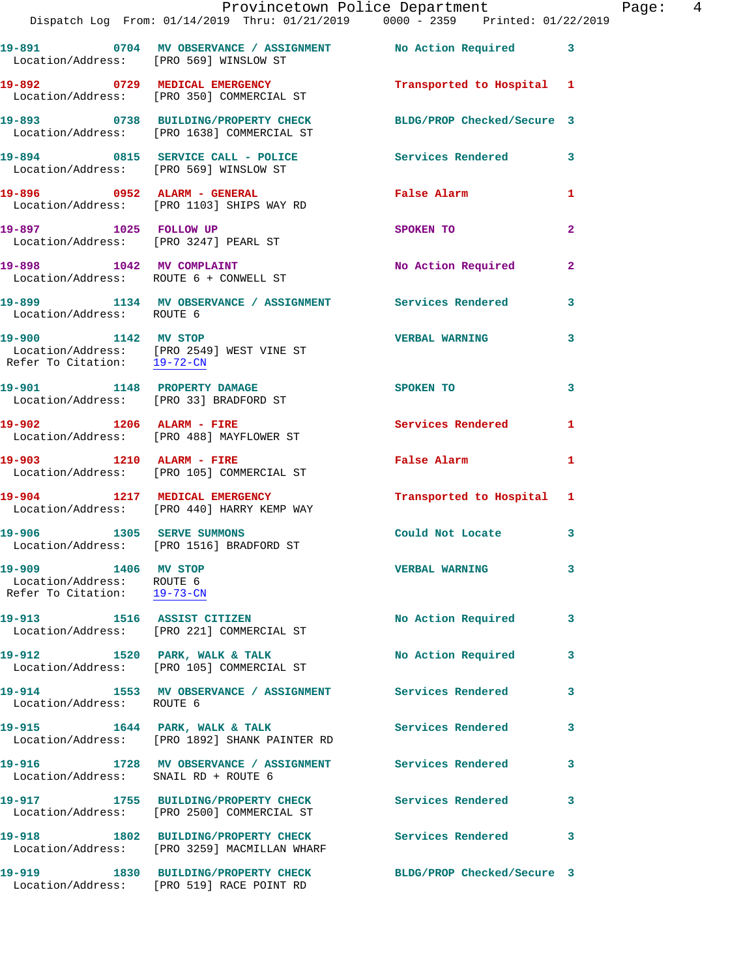|                                                                                 | Provincetown Police Department<br>Dispatch Log From: 01/14/2019 Thru: 01/21/2019 0000 - 2359 Printed: 01/22/2019 |                            |                |
|---------------------------------------------------------------------------------|------------------------------------------------------------------------------------------------------------------|----------------------------|----------------|
| Location/Address: [PRO 569] WINSLOW ST                                          | 19-891 0704 MV OBSERVANCE / ASSIGNMENT No Action Required 3                                                      |                            |                |
|                                                                                 | 19-892 0729 MEDICAL EMERGENCY<br>Location/Address: [PRO 350] COMMERCIAL ST                                       | Transported to Hospital 1  |                |
|                                                                                 | 19-893 0738 BUILDING/PROPERTY CHECK<br>Location/Address: [PRO 1638] COMMERCIAL ST                                | BLDG/PROP Checked/Secure 3 |                |
|                                                                                 | 19-894 0815 SERVICE CALL - POLICE Services Rendered<br>Location/Address: [PRO 569] WINSLOW ST                    |                            | 3              |
|                                                                                 | 19-896 0952 ALARM - GENERAL<br>Location/Address: [PRO 1103] SHIPS WAY RD                                         | False Alarm                | 1              |
| 19-897 1025 FOLLOW UP                                                           | Location/Address: [PRO 3247] PEARL ST                                                                            | SPOKEN TO                  | $\overline{a}$ |
| Location/Address: ROUTE 6 + CONWELL ST                                          | 19-898 1042 MV COMPLAINT                                                                                         | No Action Required         | 2              |
| Location/Address: ROUTE 6                                                       | 19-899 1134 MV OBSERVANCE / ASSIGNMENT Services Rendered                                                         |                            | 3              |
| 19-900 1142 MV STOP<br>Refer To Citation: 19-72-CN                              | Location/Address: [PRO 2549] WEST VINE ST                                                                        | <b>VERBAL WARNING</b>      | 3              |
| Location/Address: [PRO 33] BRADFORD ST                                          | 19-901 1148 PROPERTY DAMAGE                                                                                      | SPOKEN TO                  | 3              |
|                                                                                 | 19-902 1206 ALARM - FIRE<br>Location/Address: [PRO 488] MAYFLOWER ST                                             | <b>Services Rendered</b>   | $\mathbf{1}$   |
| 19-903 1210 ALARM - FIRE                                                        | Location/Address: [PRO 105] COMMERCIAL ST                                                                        | <b>False Alarm</b>         | 1              |
|                                                                                 | 19-904 1217 MEDICAL EMERGENCY<br>Location/Address: [PRO 440] HARRY KEMP WAY                                      | Transported to Hospital 1  |                |
|                                                                                 | 19-906 1305 SERVE SUMMONS<br>Location/Address: [PRO 1516] BRADFORD ST                                            | Could Not Locate           | 3              |
| 19-909 1406 MV STOP<br>Location/Address: ROUTE 6<br>Refer To Citation: 19-73-CN |                                                                                                                  | <b>VERBAL WARNING</b>      | 3              |
|                                                                                 | 19-913 1516 ASSIST CITIZEN<br>Location/Address: [PRO 221] COMMERCIAL ST                                          | No Action Required         | 3              |
|                                                                                 | 19-912 1520 PARK, WALK & TALK<br>Location/Address: [PRO 105] COMMERCIAL ST                                       | No Action Required         | 3              |
| Location/Address: ROUTE 6                                                       | 19-914 1553 MV OBSERVANCE / ASSIGNMENT                                                                           | <b>Services Rendered</b>   | 3              |
|                                                                                 | 19-915 1644 PARK, WALK & TALK<br>Location/Address: [PRO 1892] SHANK PAINTER RD                                   | Services Rendered          | 3              |
| Location/Address: SNAIL RD + ROUTE 6                                            | 19-916 1728 MV OBSERVANCE / ASSIGNMENT                                                                           | <b>Services Rendered</b>   | 3              |
|                                                                                 | 19-917 1755 BUILDING/PROPERTY CHECK<br>Location/Address: [PRO 2500] COMMERCIAL ST                                | Services Rendered          | 3              |
|                                                                                 | 19-918 1802 BUILDING/PROPERTY CHECK<br>Location/Address: [PRO 3259] MACMILLAN WHARF                              | Services Rendered          | 3              |
| 19-919                                                                          | 1830 BUILDING/PROPERTY CHECK                                                                                     | BLDG/PROP Checked/Secure 3 |                |

Location/Address: [PRO 519] RACE POINT RD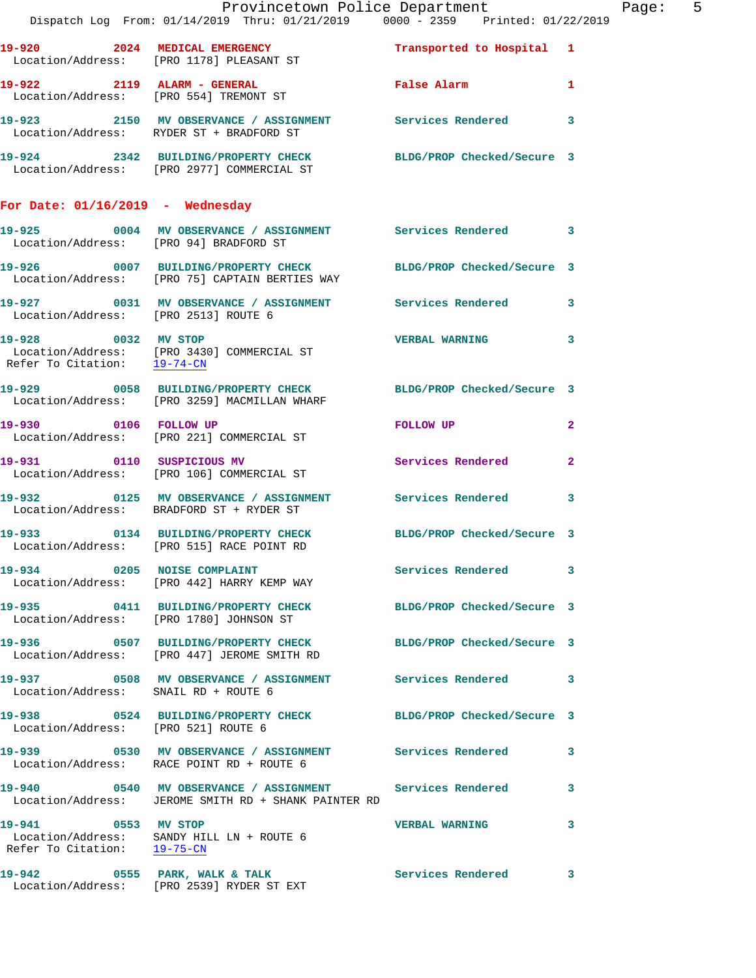|                                                    | Provincetown Police Department<br>Dispatch Log From: 01/14/2019 Thru: 01/21/2019 0000 - 2359 Printed: 01/22/2019    |                            |              | Page: 5 |  |
|----------------------------------------------------|---------------------------------------------------------------------------------------------------------------------|----------------------------|--------------|---------|--|
|                                                    | 19-920 2024 MEDICAL EMERGENCY<br>Location/Address: [PRO 1178] PLEASANT ST                                           | Transported to Hospital 1  |              |         |  |
|                                                    | 19-922 2119 ALARM - GENERAL<br>Location/Address: [PRO 554] TREMONT ST                                               | False Alarm 1              |              |         |  |
|                                                    | 19-923 2150 MV OBSERVANCE / ASSIGNMENT Services Rendered 3<br>Location/Address: RYDER ST + BRADFORD ST              |                            |              |         |  |
|                                                    | 19-924 2342 BUILDING/PROPERTY CHECK BLDG/PROP Checked/Secure 3<br>Location/Address: [PRO 2977] COMMERCIAL ST        |                            |              |         |  |
| For Date: $01/16/2019$ - Wednesday                 |                                                                                                                     |                            |              |         |  |
| Location/Address: [PRO 94] BRADFORD ST             | 19-925 0004 MV OBSERVANCE / ASSIGNMENT Services Rendered 3                                                          |                            |              |         |  |
|                                                    | 19-926 0007 BUILDING/PROPERTY CHECK BLDG/PROP Checked/Secure 3<br>Location/Address: [PRO 75] CAPTAIN BERTIES WAY    |                            |              |         |  |
| Location/Address: [PRO 2513] ROUTE 6               | 19-927 0031 MV OBSERVANCE / ASSIGNMENT Services Rendered 3                                                          |                            |              |         |  |
|                                                    | 19-928 0032 MV STOP<br>Location/Address: [PRO 3430] COMMERCIAL ST<br>Refer To Citation: $\frac{19-74-CN}{19-74-CN}$ | VERBAL WARNING 3           |              |         |  |
|                                                    | 19-929 0058 BUILDING/PROPERTY CHECK BLDG/PROP Checked/Secure 3<br>Location/Address: [PRO 3259] MACMILLAN WHARF      |                            |              |         |  |
|                                                    | 19-930 0106 FOLLOW UP<br>Location/Address: [PRO 221] COMMERCIAL ST                                                  | FOLLOW UP                  | $\mathbf{2}$ |         |  |
|                                                    | 19-931 0110 SUSPICIOUS MV<br>Location/Address: [PRO 106] COMMERCIAL ST                                              | <b>Services Rendered</b>   | $\mathbf{2}$ |         |  |
|                                                    | 19-932 0125 MV OBSERVANCE / ASSIGNMENT Services Rendered 3<br>Location/Address: BRADFORD ST + RYDER ST              |                            |              |         |  |
|                                                    | 19-933 0134 BUILDING/PROPERTY CHECK BLDG/PROP Checked/Secure 3<br>Location/Address: [PRO 515] RACE POINT RD         |                            |              |         |  |
|                                                    | 19-934 0205 NOISE COMPLAINT<br>Location/Address: [PRO 442] HARRY KEMP WAY                                           | Services Rendered 3        |              |         |  |
|                                                    | 19-935 0411 BUILDING/PROPERTY CHECK BLDG/PROP Checked/Secure 3<br>Location/Address: [PRO 1780] JOHNSON ST           |                            |              |         |  |
|                                                    | 19-936 0507 BUILDING/PROPERTY CHECK<br>Location/Address: [PRO 447] JEROME SMITH RD                                  | BLDG/PROP Checked/Secure 3 |              |         |  |
| Location/Address: SNAIL RD + ROUTE 6               | 19-937 0508 MV OBSERVANCE / ASSIGNMENT Services Rendered 3                                                          |                            |              |         |  |
| Location/Address: [PRO 521] ROUTE 6                | 19-938 0524 BUILDING/PROPERTY CHECK BLDG/PROP Checked/Secure 3                                                      |                            |              |         |  |
|                                                    | 19-939 		 0530 MV OBSERVANCE / ASSIGNMENT Services Rendered<br>Location/Address: RACE POINT RD + ROUTE 6            |                            | 3            |         |  |
|                                                    | 19-940 		 0540 MV OBSERVANCE / ASSIGNMENT Services Rendered<br>Location/Address: JEROME SMITH RD + SHANK PAINTER RD |                            | $\mathbf{3}$ |         |  |
| 19-941 0553 MV STOP<br>Refer To Citation: 19-75-CN | Location/Address: SANDY HILL LN + ROUTE 6                                                                           | <b>VERBAL WARNING</b>      | 3            |         |  |
|                                                    | 19-942 0555 PARK, WALK & TALK<br>Location/Address: [PRO 2539] RYDER ST EXT                                          | <b>Services Rendered 3</b> |              |         |  |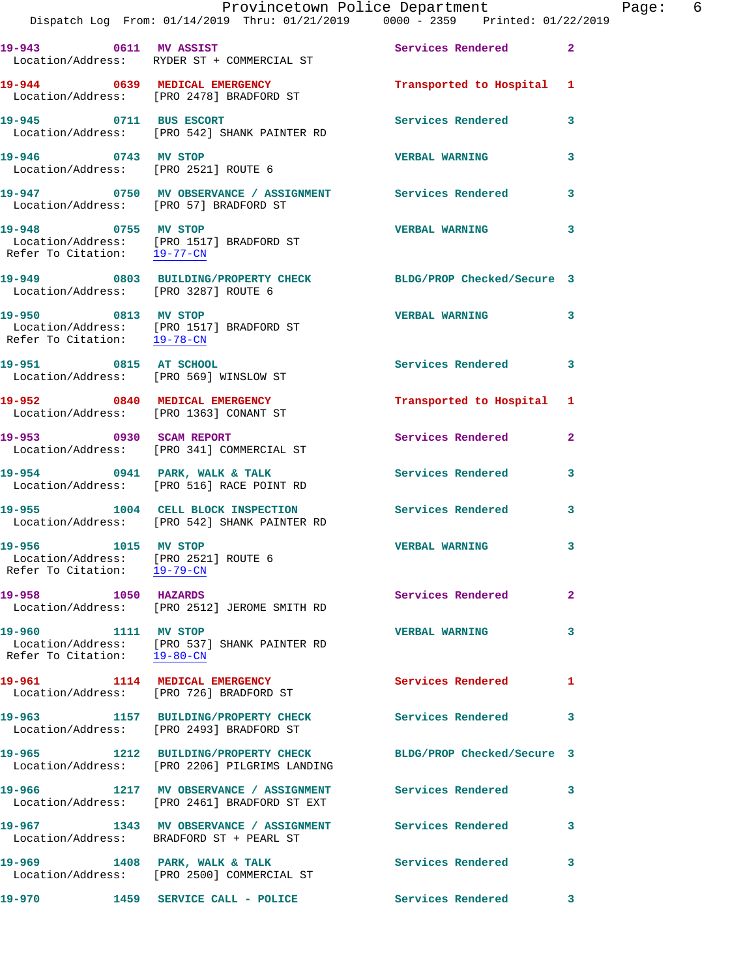|                                                                                            | Dispatch Log From: 01/14/2019 Thru: 01/21/2019 0000 - 2359 Printed: 01/22/2019                                  | Provincetown Police Department | Page: 6        |
|--------------------------------------------------------------------------------------------|-----------------------------------------------------------------------------------------------------------------|--------------------------------|----------------|
|                                                                                            | 19-943 0611 MV ASSIST<br>Location/Address: RYDER ST + COMMERCIAL ST                                             | Services Rendered 2            |                |
|                                                                                            | 19-944 0639 MEDICAL EMERGENCY<br>Location/Address: [PRO 2478] BRADFORD ST                                       | Transported to Hospital 1      |                |
|                                                                                            |                                                                                                                 | Services Rendered              | 3              |
| 19-946 0743 MV STOP<br>Location/Address: [PRO 2521] ROUTE 6                                |                                                                                                                 | <b>VERBAL WARNING</b>          | 3              |
| Location/Address: [PRO 57] BRADFORD ST                                                     | 19-947 0750 MV OBSERVANCE / ASSIGNMENT Services Rendered 3                                                      |                                |                |
| 19-948 0755 MV STOP<br>Refer To Citation: 19-77-CN                                         | Location/Address: [PRO 1517] BRADFORD ST                                                                        | <b>VERBAL WARNING</b>          | 3              |
| Location/Address: [PRO 3287] ROUTE 6                                                       | 19-949 0803 BUILDING/PROPERTY CHECK BLDG/PROP Checked/Secure 3                                                  |                                |                |
|                                                                                            | 19-950 0813 MV STOP<br>Location/Address: [PRO 1517] BRADFORD ST<br>Refer To Citation: $\frac{19-78-CN}{29-78C}$ | <b>VERBAL WARNING</b>          | 3              |
| 19-951 0815 AT SCHOOL                                                                      | Location/Address: [PRO 569] WINSLOW ST                                                                          | Services Rendered              | 3              |
|                                                                                            | 19-952 0840 MEDICAL EMERGENCY<br>Location/Address: [PRO 1363] CONANT ST                                         | Transported to Hospital 1      |                |
|                                                                                            | 19-953 0930 SCAM REPORT<br>Location/Address: [PRO 341] COMMERCIAL ST                                            | Services Rendered              | $\overline{a}$ |
|                                                                                            | 19-954 0941 PARK, WALK & TALK<br>Location/Address: [PRO 516] RACE POINT RD                                      | Services Rendered              | 3              |
|                                                                                            | 19-955 1004 CELL BLOCK INSPECTION Services Rendered<br>Location/Address: [PRO 542] SHANK PAINTER RD             |                                | 3              |
| 19-956 1015 MV STOP<br>Location/Address: [PRO 2521] ROUTE 6<br>Refer To Citation: 19-79-CN |                                                                                                                 | <b>VERBAL WARNING</b>          | 3              |
| 19-958 1050 HAZARDS                                                                        | Location/Address: [PRO 2512] JEROME SMITH RD                                                                    | Services Rendered              | $\overline{2}$ |
| 19-960 1111 MV STOP<br>Refer To Citation: 19-80-CN                                         | Location/Address: [PRO 537] SHANK PAINTER RD                                                                    | <b>VERBAL WARNING</b>          | 3              |
|                                                                                            | 19-961 1114 MEDICAL EMERGENCY<br>Location/Address: [PRO 726] BRADFORD ST                                        | Services Rendered              | 1              |
|                                                                                            | 19-963 1157 BUILDING/PROPERTY CHECK<br>Location/Address: [PRO 2493] BRADFORD ST                                 | <b>Services Rendered</b>       | 3              |
|                                                                                            | 19-965 1212 BUILDING/PROPERTY CHECK<br>Location/Address: [PRO 2206] PILGRIMS LANDING                            | BLDG/PROP Checked/Secure 3     |                |
|                                                                                            | 19-966 1217 MV OBSERVANCE / ASSIGNMENT Services Rendered<br>Location/Address: [PRO 2461] BRADFORD ST EXT        |                                | 3              |
|                                                                                            | 19-967 1343 MV OBSERVANCE / ASSIGNMENT Services Rendered<br>Location/Address: BRADFORD ST + PEARL ST            |                                | 3              |
|                                                                                            | 19-969 1408 PARK, WALK & TALK<br>Location/Address: [PRO 2500] COMMERCIAL ST                                     | Services Rendered              | 3              |
| 19-970                                                                                     | 1459 SERVICE CALL - POLICE                                                                                      | Services Rendered              | 3              |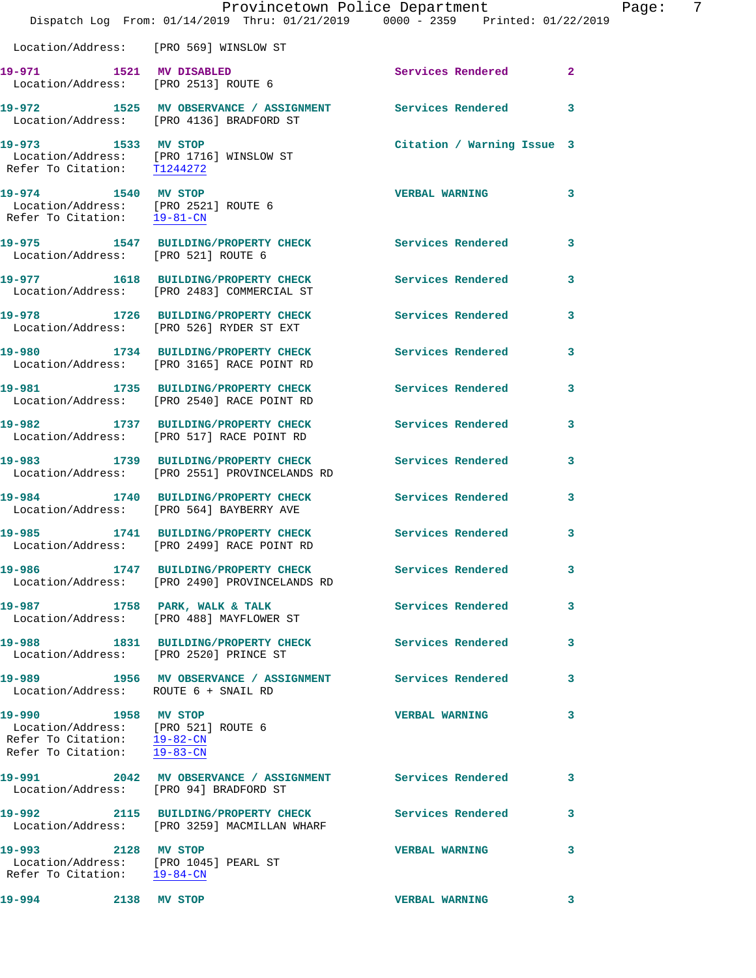|                                                                                                                          | Dispatch Log From: 01/14/2019 Thru: 01/21/2019 0000 - 2359 Printed: 01/22/2019                           | Provincetown Police Department |              | Page: | 7 |
|--------------------------------------------------------------------------------------------------------------------------|----------------------------------------------------------------------------------------------------------|--------------------------------|--------------|-------|---|
|                                                                                                                          | Location/Address: [PRO 569] WINSLOW ST                                                                   |                                |              |       |   |
|                                                                                                                          | 19-971 1521 MV DISABLED<br>Location/Address: [PRO 2513] ROUTE 6                                          | Services Rendered 2            |              |       |   |
|                                                                                                                          | 19-972 1525 MV OBSERVANCE / ASSIGNMENT Services Rendered 3<br>Location/Address: [PRO 4136] BRADFORD ST   |                                |              |       |   |
| 19-973 1533 MV STOP                                                                                                      | Location/Address: [PRO 1716] WINSLOW ST<br>Refer To Citation: T1244272                                   | Citation / Warning Issue 3     |              |       |   |
| 19-974 1540 MV STOP<br>Refer To Citation: 19-81-CN                                                                       | Location/Address: [PRO 2521] ROUTE 6                                                                     | <b>VERBAL WARNING</b>          | $\mathbf{3}$ |       |   |
| Location/Address: [PRO 521] ROUTE 6                                                                                      | 19-975 1547 BUILDING/PROPERTY CHECK Services Rendered                                                    |                                | $\mathbf{3}$ |       |   |
|                                                                                                                          | 19-977 1618 BUILDING/PROPERTY CHECK Services Rendered 3<br>Location/Address: [PRO 2483] COMMERCIAL ST    |                                |              |       |   |
|                                                                                                                          | 19-978 1726 BUILDING/PROPERTY CHECK<br>Location/Address: [PRO 526] RYDER ST EXT                          | Services Rendered              | 3            |       |   |
|                                                                                                                          | 19-980 1734 BUILDING/PROPERTY CHECK Services Rendered 3<br>Location/Address: [PRO 3165] RACE POINT RD    |                                |              |       |   |
|                                                                                                                          | 19-981 1735 BUILDING/PROPERTY CHECK<br>Location/Address: [PRO 2540] RACE POINT RD                        | <b>Services Rendered</b>       | 3            |       |   |
|                                                                                                                          | 19-982 1737 BUILDING/PROPERTY CHECK Services Rendered<br>Location/Address: [PRO 517] RACE POINT RD       |                                | $\mathbf{3}$ |       |   |
|                                                                                                                          | 19-983 1739 BUILDING/PROPERTY CHECK<br>Location/Address: [PRO 2551] PROVINCELANDS RD                     | Services Rendered              | $\mathbf{3}$ |       |   |
|                                                                                                                          | 19-984 1740 BUILDING/PROPERTY CHECK Services Rendered<br>Location/Address: [PRO 564] BAYBERRY AVE        |                                | 3            |       |   |
|                                                                                                                          | 19-985 1741 BUILDING/PROPERTY CHECK<br>Location/Address: [PRO 2499] RACE POINT RD                        | Services Rendered              | $\mathbf{3}$ |       |   |
|                                                                                                                          | 19-986 1747 BUILDING/PROPERTY CHECK Services Rendered 3<br>Location/Address: [PRO 2490] PROVINCELANDS RD |                                |              |       |   |
|                                                                                                                          | 19-987 1758 PARK, WALK & TALK<br>Location/Address: [PRO 488] MAYFLOWER ST                                | <b>Services Rendered</b>       | 3            |       |   |
|                                                                                                                          | 19-988 1831 BUILDING/PROPERTY CHECK Services Rendered<br>Location/Address: [PRO 2520] PRINCE ST          |                                | $\mathbf{3}$ |       |   |
| Location/Address: ROUTE 6 + SNAIL RD                                                                                     | 19-989 1956 MV OBSERVANCE / ASSIGNMENT Services Rendered                                                 |                                | 3            |       |   |
| 19-990 1958 MV STOP<br>Location/Address: [PRO 521] ROUTE 6<br>Refer To Citation: 19-82-CN<br>Refer To Citation: 19-83-CN |                                                                                                          | <b>VERBAL WARNING</b>          | 3            |       |   |
|                                                                                                                          | 19-991 2042 MV OBSERVANCE / ASSIGNMENT Services Rendered<br>Location/Address: [PRO 94] BRADFORD ST       |                                | 3            |       |   |
|                                                                                                                          | 19-992 2115 BUILDING/PROPERTY CHECK<br>Location/Address: [PRO 3259] MACMILLAN WHARF                      | <b>Services Rendered</b>       | 3            |       |   |
| 19-993 2128 MV STOP<br>Location/Address: [PRO 1045] PEARL ST<br>Refer To Citation: 19-84-CN                              |                                                                                                          | <b>VERBAL WARNING</b>          | 3            |       |   |
| 19-994<br>2138 MV STOP                                                                                                   |                                                                                                          | <b>VERBAL WARNING</b>          | 3            |       |   |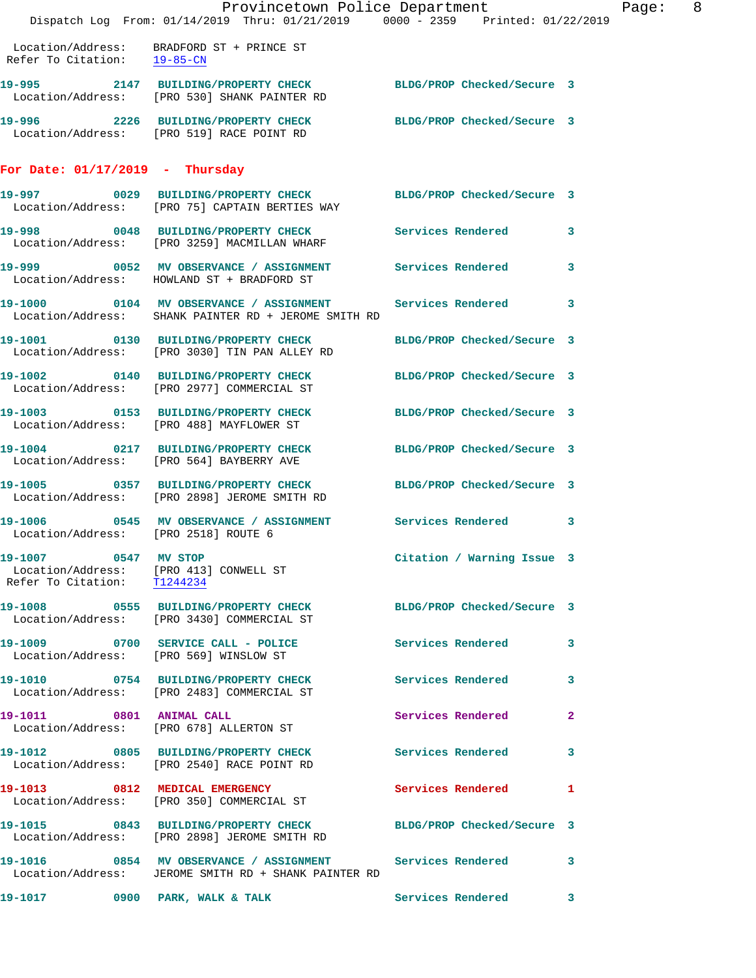|                                         | Dispatch Log From: 01/14/2019 Thru: 01/21/2019 0000 - 2359 Printed: 01/22/2019                                      | Provincetown Police Department Page: 8 |              |
|-----------------------------------------|---------------------------------------------------------------------------------------------------------------------|----------------------------------------|--------------|
| Refer To Citation: $\frac{19-85-CN}{ }$ | Location/Address: BRADFORD ST + PRINCE ST                                                                           |                                        |              |
|                                         | 19-995 2147 BUILDING/PROPERTY CHECK BLDG/PROP Checked/Secure 3<br>Location/Address: [PRO 530] SHANK PAINTER RD      |                                        |              |
|                                         | 19-996 2226 BUILDING/PROPERTY CHECK BLDG/PROP Checked/Secure 3<br>Location/Address: [PRO 519] RACE POINT RD         |                                        |              |
| For Date: $01/17/2019$ - Thursday       |                                                                                                                     |                                        |              |
|                                         | 19-997 0029 BUILDING/PROPERTY CHECK BLDG/PROP Checked/Secure 3<br>Location/Address: [PRO 75] CAPTAIN BERTIES WAY    |                                        |              |
|                                         | 19-998 0048 BUILDING/PROPERTY CHECK Services Rendered 3<br>Location/Address: [PRO 3259] MACMILLAN WHARF             |                                        |              |
|                                         | 19-999 6052 MV OBSERVANCE / ASSIGNMENT Services Rendered<br>Location/Address: HOWLAND ST + BRADFORD ST              |                                        | 3            |
|                                         | 19-1000 0104 MV OBSERVANCE / ASSIGNMENT Services Rendered 3<br>Location/Address: SHANK PAINTER RD + JEROME SMITH RD |                                        |              |
|                                         | 19-1001 0130 BUILDING/PROPERTY CHECK<br>Location/Address: [PRO 3030] TIN PAN ALLEY RD                               | BLDG/PROP Checked/Secure 3             |              |
|                                         | 19-1002 0140 BUILDING/PROPERTY CHECK BLDG/PROP Checked/Secure 3<br>Location/Address: [PRO 2977] COMMERCIAL ST       |                                        |              |
|                                         | 19-1003 0153 BUILDING/PROPERTY CHECK BLDG/PROP Checked/Secure 3<br>Location/Address: [PRO 488] MAYFLOWER ST         |                                        |              |
|                                         | 19-1004 0217 BUILDING/PROPERTY CHECK BLDG/PROP Checked/Secure 3<br>Location/Address: [PRO 564] BAYBERRY AVE         |                                        |              |
|                                         | 19-1005 0357 BUILDING/PROPERTY CHECK BLDG/PROP Checked/Secure 3<br>Location/Address: [PRO 2898] JEROME SMITH RD     |                                        |              |
| Location/Address: [PRO 2518] ROUTE 6    | 19-1006 0545 MV OBSERVANCE / ASSIGNMENT Services Rendered                                                           |                                        | 3            |
| 19-1007 0547 MV STOP                    | Location/Address: [PRO 413] CONWELL ST<br>Refer To Citation: $\frac{T1244234}{T1244234}$                            | Citation / Warning Issue 3             |              |
|                                         | 19-1008 0555 BUILDING/PROPERTY CHECK BLDG/PROP Checked/Secure 3<br>Location/Address: [PRO 3430] COMMERCIAL ST       |                                        |              |
|                                         | 19-1009 0700 SERVICE CALL - POLICE<br>Location/Address: [PRO 569] WINSLOW ST                                        | <b>Services Rendered</b>               | 3            |
|                                         | 19-1010 0754 BUILDING/PROPERTY CHECK<br>Location/Address: [PRO 2483] COMMERCIAL ST                                  | <b>Services Rendered</b>               | 3            |
|                                         | 19-1011 0801 ANIMAL CALL<br>Location/Address: [PRO 678] ALLERTON ST                                                 | Services Rendered                      | $\mathbf{2}$ |
|                                         | 19-1012 0805 BUILDING/PROPERTY CHECK<br>Location/Address: [PRO 2540] RACE POINT RD                                  | <b>Services Rendered</b>               | 3            |
|                                         | 19-1013 0812 MEDICAL EMERGENCY<br>Location/Address: [PRO 350] COMMERCIAL ST                                         | Services Rendered 1                    |              |
|                                         | 19-1015 0843 BUILDING/PROPERTY CHECK BLDG/PROP Checked/Secure 3<br>Location/Address: [PRO 2898] JEROME SMITH RD     |                                        |              |
|                                         | 19-1016 0854 MV OBSERVANCE / ASSIGNMENT Services Rendered<br>Location/Address: JEROME SMITH RD + SHANK PAINTER RD   |                                        | 3            |
|                                         | 19-1017 0900 PARK, WALK & TALK                                                                                      | <b>Services Rendered</b>               | 3            |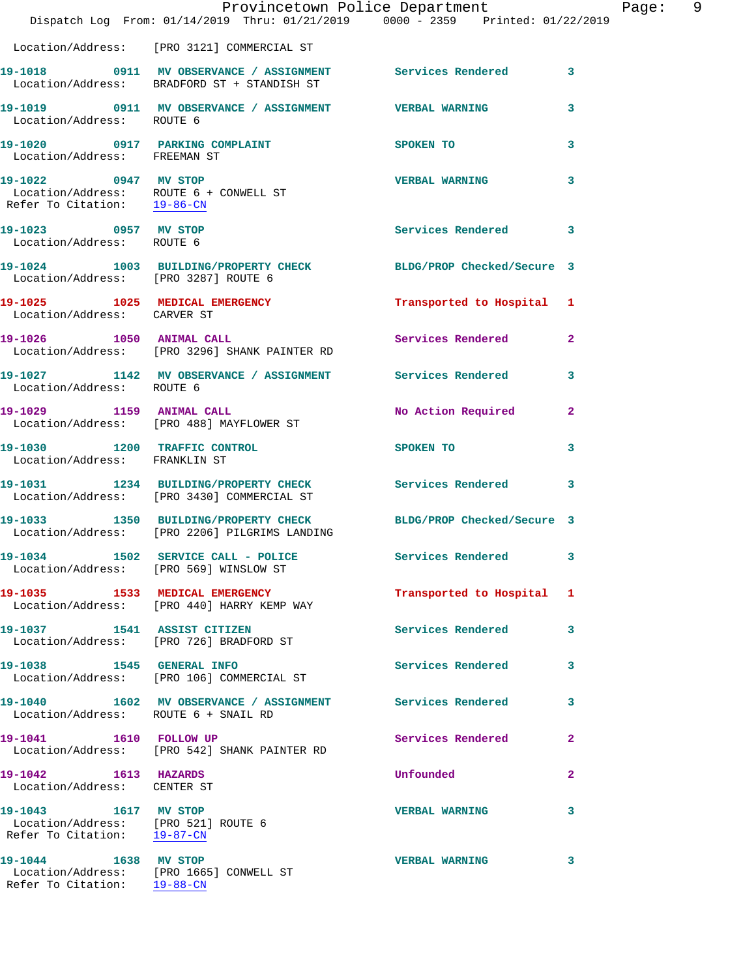|                                                                                            | Provincetown Police Department<br>Dispatch Log From: 01/14/2019 Thru: 01/21/2019 0000 - 2359 Printed: 01/22/2019 |                           |                |
|--------------------------------------------------------------------------------------------|------------------------------------------------------------------------------------------------------------------|---------------------------|----------------|
|                                                                                            | Location/Address: [PRO 3121] COMMERCIAL ST                                                                       |                           |                |
|                                                                                            | 19-1018 0911 MV OBSERVANCE / ASSIGNMENT Services Rendered<br>Location/Address: BRADFORD ST + STANDISH ST         |                           | 3              |
| Location/Address: ROUTE 6                                                                  | 19-1019 0911 MV OBSERVANCE / ASSIGNMENT VERBAL WARNING                                                           |                           | 3              |
| 19-1020 0917 PARKING COMPLAINT<br>Location/Address: FREEMAN ST                             |                                                                                                                  | SPOKEN TO                 | 3              |
| 19-1022 0947 MV STOP<br>Refer To Citation: 19-86-CN                                        | Location/Address: ROUTE 6 + CONWELL ST                                                                           | <b>VERBAL WARNING</b>     | 3              |
| 19-1023 0957 MV STOP<br>Location/Address: ROUTE 6                                          |                                                                                                                  | Services Rendered         | 3              |
| Location/Address: [PRO 3287] ROUTE 6                                                       | 19-1024 1003 BUILDING/PROPERTY CHECK BLDG/PROP Checked/Secure 3                                                  |                           |                |
| Location/Address: CARVER ST                                                                | 19-1025 1025 MEDICAL EMERGENCY                                                                                   | Transported to Hospital 1 |                |
|                                                                                            | 19-1026 1050 ANIMAL CALL<br>Location/Address: [PRO 3296] SHANK PAINTER RD                                        | Services Rendered         | $\mathbf{2}$   |
| Location/Address: ROUTE 6                                                                  | 19-1027 1142 MV OBSERVANCE / ASSIGNMENT Services Rendered                                                        |                           | 3              |
|                                                                                            | 19-1029 1159 ANIMAL CALL<br>Location/Address: [PRO 488] MAYFLOWER ST                                             | No Action Required        | 2              |
| 19-1030 1200 TRAFFIC CONTROL<br>Location/Address: FRANKLIN ST                              |                                                                                                                  | SPOKEN TO                 | 3              |
|                                                                                            | 19-1031 1234 BUILDING/PROPERTY CHECK<br>Location/Address: [PRO 3430] COMMERCIAL ST                               | Services Rendered         | 3              |
|                                                                                            | 19-1033 1350 BUILDING/PROPERTY CHECK BLDG/PROP Checked/Secure 3<br>Location/Address: [PRO 2206] PILGRIMS LANDING |                           |                |
|                                                                                            | 19-1034 1502 SERVICE CALL - POLICE<br>Location/Address: [PRO 569] WINSLOW ST                                     | <b>Services Rendered</b>  | 3              |
|                                                                                            | 19-1035 1533 MEDICAL EMERGENCY<br>Location/Address: [PRO 440] HARRY KEMP WAY                                     | Transported to Hospital   | 1              |
| 19-1037 1541 ASSIST CITIZEN                                                                | Location/Address: [PRO 726] BRADFORD ST                                                                          | <b>Services Rendered</b>  | 3              |
| 19-1038   1545   GENERAL INFO                                                              | Location/Address: [PRO 106] COMMERCIAL ST                                                                        | Services Rendered         | 3              |
| Location/Address: ROUTE 6 + SNAIL RD                                                       | 19-1040 1602 MV OBSERVANCE / ASSIGNMENT Services Rendered                                                        |                           | 3              |
| 19-1041 1610 FOLLOW UP                                                                     | Location/Address: [PRO 542] SHANK PAINTER RD                                                                     | Services Rendered         | $\overline{a}$ |
| 19-1042 1613 HAZARDS<br>Location/Address: CENTER ST                                        |                                                                                                                  | Unfounded                 | 2              |
| 19-1043 1617 MV STOP<br>Location/Address: [PRO 521] ROUTE 6<br>Refer To Citation: 19-87-CN |                                                                                                                  | <b>VERBAL WARNING</b>     | 3              |
| 19-1044 1638 MV STOP                                                                       | Location/Address: [PRO 1665] CONWELL ST                                                                          | <b>VERBAL WARNING</b>     | 3              |

Refer To Citation: 19-88-CN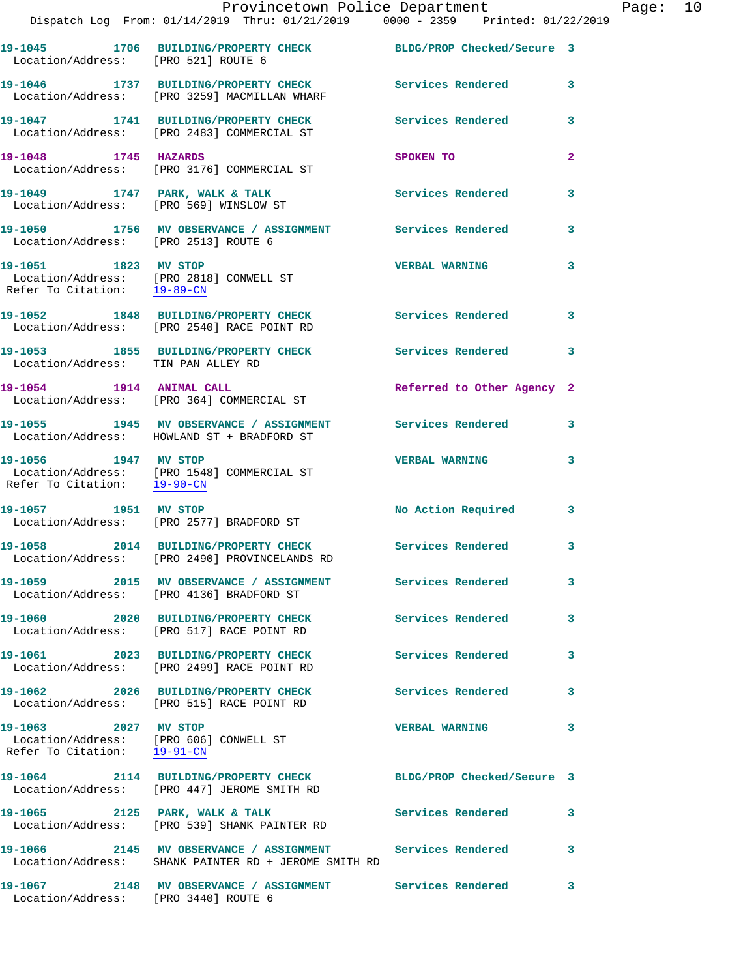|                                                     | Dispatch Log From: 01/14/2019 Thru: 01/21/2019 0000 - 2359 Printed: 01/22/2019                                    |                            |              |
|-----------------------------------------------------|-------------------------------------------------------------------------------------------------------------------|----------------------------|--------------|
| Location/Address: [PRO 521] ROUTE 6                 | 19-1045 1706 BUILDING/PROPERTY CHECK BLDG/PROP Checked/Secure 3                                                   |                            |              |
|                                                     | 19-1046 1737 BUILDING/PROPERTY CHECK<br>Location/Address: [PRO 3259] MACMILLAN WHARF                              | Services Rendered          | 3            |
|                                                     | 19-1047 1741 BUILDING/PROPERTY CHECK<br>Location/Address: [PRO 2483] COMMERCIAL ST                                | <b>Services Rendered</b>   | 3            |
| 19-1048 1745 HAZARDS                                | Location/Address: [PRO 3176] COMMERCIAL ST                                                                        | SPOKEN TO                  | $\mathbf{2}$ |
| 19-1049 1747 PARK, WALK & TALK                      | Location/Address: [PRO 569] WINSLOW ST                                                                            | <b>Services Rendered</b>   | 3            |
| Location/Address: [PRO 2513] ROUTE 6                | 19-1050 1756 MV OBSERVANCE / ASSIGNMENT Services Rendered                                                         |                            | 3            |
| 19-1051 1823 MV STOP<br>Refer To Citation: 19-89-CN | Location/Address: [PRO 2818] CONWELL ST                                                                           | <b>VERBAL WARNING</b>      | 3            |
|                                                     | 19-1052 1848 BUILDING/PROPERTY CHECK Services Rendered<br>Location/Address: [PRO 2540] RACE POINT RD              |                            | 3            |
| Location/Address: TIN PAN ALLEY RD                  | 19-1053 1855 BUILDING/PROPERTY CHECK                                                                              | Services Rendered          | 3            |
|                                                     | 19-1054 1914 ANIMAL CALL<br>Location/Address: [PRO 364] COMMERCIAL ST                                             | Referred to Other Agency 2 |              |
|                                                     | Location/Address: HOWLAND ST + BRADFORD ST                                                                        |                            | 3            |
| 19-1056 1947 MV STOP<br>Refer To Citation: 19-90-CN | Location/Address: [PRO 1548] COMMERCIAL ST                                                                        | <b>VERBAL WARNING</b>      | 3            |
|                                                     | 19-1057 1951 MV STOP<br>Location/Address: [PRO 2577] BRADFORD ST                                                  | No Action Required         | 3            |
|                                                     | 19-1058 2014 BUILDING/PROPERTY CHECK Services Rendered<br>Location/Address: [PRO 2490] PROVINCELANDS RD           |                            | 3            |
|                                                     | 19-1059 2015 MV OBSERVANCE / ASSIGNMENT Services Rendered<br>Location/Address: [PRO 4136] BRADFORD ST             |                            | 3            |
|                                                     | 19-1060 2020 BUILDING/PROPERTY CHECK<br>Location/Address: [PRO 517] RACE POINT RD                                 | <b>Services Rendered</b>   | 3            |
|                                                     | 19-1061 2023 BUILDING/PROPERTY CHECK<br>Location/Address: [PRO 2499] RACE POINT RD                                | Services Rendered          | 3            |
|                                                     | 19-1062 2026 BUILDING/PROPERTY CHECK<br>Location/Address: [PRO 515] RACE POINT RD                                 | <b>Services Rendered</b>   | 3            |
| 19-1063 2027 MV STOP<br>Refer To Citation: 19-91-CN | Location/Address: [PRO 606] CONWELL ST                                                                            | <b>VERBAL WARNING</b>      | 3            |
|                                                     | 19-1064 2114 BUILDING/PROPERTY CHECK BLDG/PROP Checked/Secure 3<br>Location/Address: [PRO 447] JEROME SMITH RD    |                            |              |
|                                                     | 19-1065 2125 PARK, WALK & TALK<br>Location/Address: [PRO 539] SHANK PAINTER RD                                    | Services Rendered          | 3            |
|                                                     | 19-1066 2145 MV OBSERVANCE / ASSIGNMENT Services Rendered<br>Location/Address: SHANK PAINTER RD + JEROME SMITH RD |                            | 3            |
| 19-1067                                             | 2148 MV OBSERVANCE / ASSIGNMENT Services Rendered                                                                 |                            | 3            |

Location/Address: [PRO 3440] ROUTE 6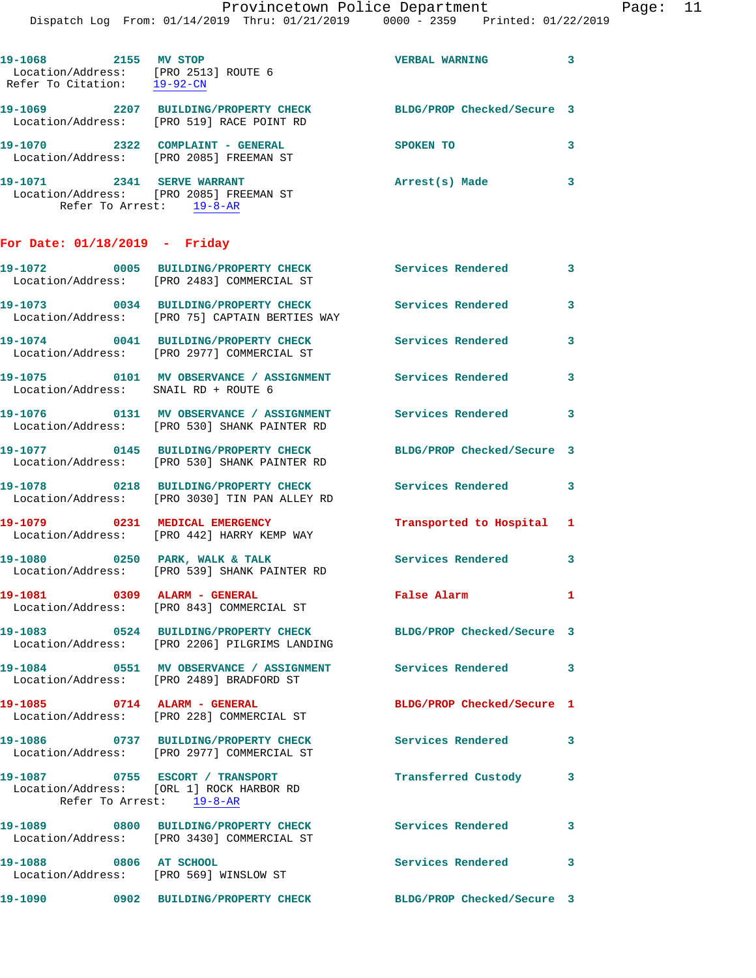| 19-1068<br>Refer To Citation: | 2155 | MV STOP<br>Location/Address: [PRO 2513] ROUTE 6<br>$19 - 92 - CN$                | <b>VERBAL WARNING</b>      |  |
|-------------------------------|------|----------------------------------------------------------------------------------|----------------------------|--|
| 19-1069                       | 2207 | BUILDING/PROPERTY CHECK<br>Location/Address: [PRO 519] RACE POINT RD             | BLDG/PROP Checked/Secure 3 |  |
| 19-1070                       | 2322 | COMPLAINT - GENERAL<br>Location/Address: [PRO 2085] FREEMAN ST                   | SPOKEN TO                  |  |
| 19-1071<br>Refer To Arrest:   | 2341 | <b>SERVE WARRANT</b><br>Location/Address: [PRO 2085] FREEMAN ST<br>$19 - 8 - AR$ | Arrest(s) Made             |  |

## **For Date: 01/18/2019 - Friday**

|                                                             | 19-1072 0005 BUILDING/PROPERTY CHECK<br>Location/Address: [PRO 2483] COMMERCIAL ST                      | <b>Services Rendered</b>   | 3                          |
|-------------------------------------------------------------|---------------------------------------------------------------------------------------------------------|----------------------------|----------------------------|
|                                                             | 19-1073 0034 BUILDING/PROPERTY CHECK<br>Location/Address: [PRO 75] CAPTAIN BERTIES WAY                  | <b>Services Rendered</b>   | $\overline{\mathbf{3}}$    |
|                                                             | 19-1074 0041 BUILDING/PROPERTY CHECK<br>Location/Address: [PRO 2977] COMMERCIAL ST                      | <b>Services Rendered</b>   | $\mathbf{3}$               |
| Location/Address: SNAIL RD + ROUTE 6                        |                                                                                                         |                            | $\overline{\mathbf{3}}$    |
| 19-1076                                                     | 0131 MV OBSERVANCE / ASSIGNMENT Services Rendered 3<br>Location/Address: [PRO 530] SHANK PAINTER RD     |                            |                            |
| 19-1077                                                     | 0145 BUILDING/PROPERTY CHECK<br>Location/Address: [PRO 530] SHANK PAINTER RD                            | BLDG/PROP Checked/Secure 3 |                            |
| 19-1078                                                     | 0218 BUILDING/PROPERTY CHECK<br>Location/Address: [PRO 3030] TIN PAN ALLEY RD                           | <b>Services Rendered</b>   | $\overline{\phantom{a}}$ 3 |
|                                                             | 19-1079 0231 MEDICAL EMERGENCY<br>Location/Address: [PRO 442] HARRY KEMP WAY                            | Transported to Hospital 1  |                            |
|                                                             | 19-1080 0250 PARK, WALK & TALK<br>Location/Address: [PRO 539] SHANK PAINTER RD                          | Services Rendered 3        |                            |
|                                                             | 19-1081  0309  ALARM - GENERAL<br>Location/Address: [PRO 843] COMMERCIAL ST                             | False Alarm                | $\mathbf{1}$               |
|                                                             | 19-1083 0524 BUILDING/PROPERTY CHECK<br>Location/Address: [PRO 2206] PILGRIMS LANDING                   | BLDG/PROP Checked/Secure 3 |                            |
|                                                             | 19-1084 0551 MV OBSERVANCE / ASSIGNMENT Services Rendered 3<br>Location/Address: [PRO 2489] BRADFORD ST |                            |                            |
| 19-1085 0714 ALARM - GENERAL                                | Location/Address: [PRO 228] COMMERCIAL ST                                                               | BLDG/PROP Checked/Secure 1 |                            |
| 19-1086                                                     | 0737 BUILDING/PROPERTY CHECK<br>Location/Address: [PRO 2977] COMMERCIAL ST                              | <b>Services Rendered</b> 3 |                            |
| 19-1087 0755 ESCORT / TRANSPORT<br>Refer To Arrest: 19-8-AR | Location/Address: [ORL 1] ROCK HARBOR RD                                                                | Transferred Custody        | $\overline{\mathbf{3}}$    |
|                                                             |                                                                                                         |                            |                            |
|                                                             | 19-1089 0800 BUILDING/PROPERTY CHECK<br>Location/Address: [PRO 3430] COMMERCIAL ST                      | Services Rendered 3        |                            |
| 19-1088 0806 AT SCHOOL                                      | Location/Address: [PRO 569] WINSLOW ST                                                                  | Services Rendered          | $\overline{\mathbf{3}}$    |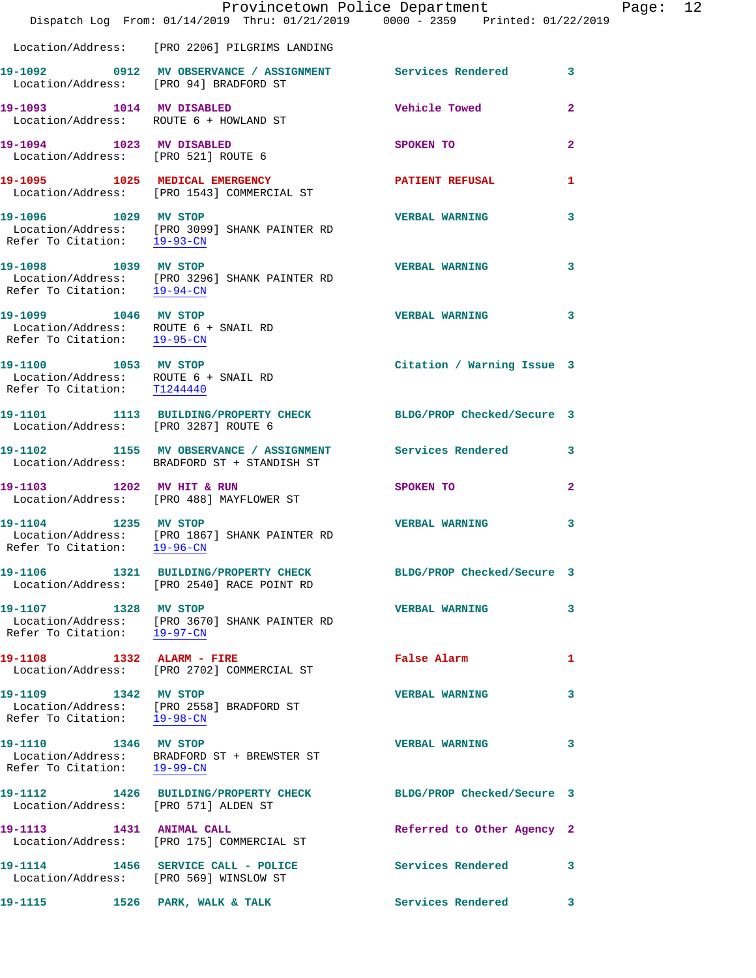|                                                                                             | Provincetown Police Department<br>Dispatch Log From: 01/14/2019 Thru: 01/21/2019 0000 - 2359 Printed: 01/22/2019 |                            |                |
|---------------------------------------------------------------------------------------------|------------------------------------------------------------------------------------------------------------------|----------------------------|----------------|
|                                                                                             | Location/Address: [PRO 2206] PILGRIMS LANDING                                                                    |                            |                |
|                                                                                             |                                                                                                                  |                            |                |
| Location/Address: [PRO 94] BRADFORD ST                                                      | 19-1092 		 0912 MV OBSERVANCE / ASSIGNMENT Services Rendered                                                     |                            | 3              |
| 19-1093 1014 MV DISABLED<br>Location/Address: ROUTE 6 + HOWLAND ST                          |                                                                                                                  | <b>Vehicle Towed</b>       | $\overline{a}$ |
| 19-1094 1023 MV DISABLED<br>Location/Address: [PRO 521] ROUTE 6                             |                                                                                                                  | SPOKEN TO                  | $\overline{2}$ |
|                                                                                             | 19-1095 1025 MEDICAL EMERGENCY<br>Location/Address: [PRO 1543] COMMERCIAL ST                                     | <b>PATIENT REFUSAL</b>     | 1.             |
| Refer To Citation: 19-93-CN                                                                 | 19-1096 1029 MV STOP<br>Location/Address: [PRO 3099] SHANK PAINTER RD                                            | <b>VERBAL WARNING</b>      | 3              |
| 19-1098 1039 MV STOP                                                                        | Location/Address: [PRO 3296] SHANK PAINTER RD<br>Refer To Citation: $\frac{19-94-CN}{\sqrt{10-94-CN}}$           | <b>VERBAL WARNING</b>      | 3              |
| 19-1099 1046 MV STOP<br>Location/Address: ROUTE 6 + SNAIL RD<br>Refer To Citation: 19-95-CN |                                                                                                                  | <b>VERBAL WARNING</b>      | 3              |
| 19-1100 1053 MV STOP<br>Location/Address: ROUTE 6 + SNAIL RD<br>Refer To Citation: T1244440 |                                                                                                                  | Citation / Warning Issue 3 |                |
| Location/Address: [PRO 3287] ROUTE 6                                                        | 19-1101 1113 BUILDING/PROPERTY CHECK BLDG/PROP Checked/Secure 3                                                  |                            |                |
|                                                                                             | 19-1102 1155 MV OBSERVANCE / ASSIGNMENT Services Rendered<br>Location/Address: BRADFORD ST + STANDISH ST         |                            | 3              |
| 19-1103 1202 MV HIT & RUN                                                                   | Location/Address: [PRO 488] MAYFLOWER ST                                                                         | SPOKEN TO                  | $\overline{2}$ |
| 19-1104 1235 MV STOP                                                                        | Location/Address: [PRO 1867] SHANK PAINTER RD<br>Refer To Citation: 19-96-CN                                     | <b>VERBAL WARNING</b>      | 3              |
|                                                                                             | 19-1106 1321 BUILDING/PROPERTY CHECK<br>Location/Address: [PRO 2540] RACE POINT RD                               | BLDG/PROP Checked/Secure 3 |                |
| 19-1107 1328 MV STOP<br>Refer To Citation: 19-97-CN                                         | Location/Address: [PRO 3670] SHANK PAINTER RD                                                                    | <b>VERBAL WARNING</b>      | 3              |
| 19-1108 1332 ALARM - FIRE                                                                   | Location/Address: [PRO 2702] COMMERCIAL ST                                                                       | False Alarm                | 1              |
| 19-1109 1342 MV STOP                                                                        | Location/Address: [PRO 2558] BRADFORD ST<br>Refer To Citation: 19-98-CN                                          | <b>VERBAL WARNING</b>      | 3              |
| 19-1110 1346 MV STOP<br>Refer To Citation: 19-99-CN                                         | Location/Address: BRADFORD ST + BREWSTER ST                                                                      | <b>VERBAL WARNING</b>      | 3              |
| Location/Address: [PRO 571] ALDEN ST                                                        | 19-1112 1426 BUILDING/PROPERTY CHECK BLDG/PROP Checked/Secure 3                                                  |                            |                |
| 19-1113 1431 ANIMAL CALL                                                                    | Location/Address: [PRO 175] COMMERCIAL ST                                                                        | Referred to Other Agency 2 |                |
| Location/Address: [PRO 569] WINSLOW ST                                                      | 19-1114 1456 SERVICE CALL - POLICE                                                                               | <b>Services Rendered</b> 3 |                |
| 19-1115 1526 PARK, WALK & TALK                                                              |                                                                                                                  | <b>Services Rendered</b>   | 3              |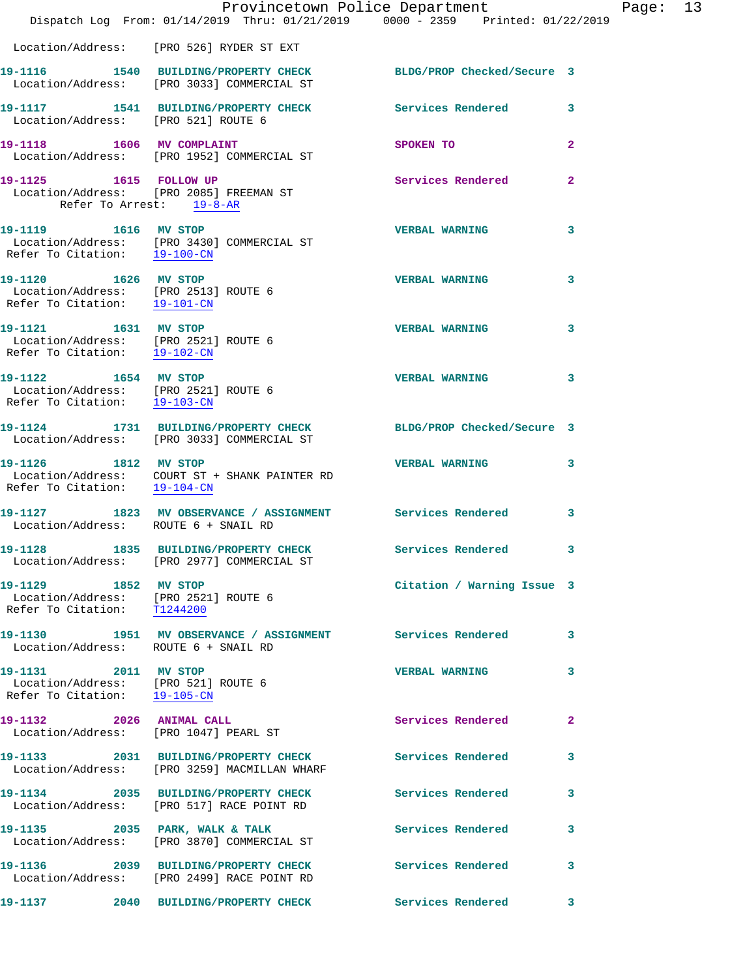|                                                                                                           | Provincetown Police Department<br>Dispatch Log From: 01/14/2019 Thru: 01/21/2019 0000 - 2359 Printed: 01/22/2019 |                            |              |
|-----------------------------------------------------------------------------------------------------------|------------------------------------------------------------------------------------------------------------------|----------------------------|--------------|
|                                                                                                           | Location/Address: [PRO 526] RYDER ST EXT                                                                         |                            |              |
|                                                                                                           | 19-1116 1540 BUILDING/PROPERTY CHECK<br>Location/Address: [PRO 3033] COMMERCIAL ST                               | BLDG/PROP Checked/Secure 3 |              |
| Location/Address: [PRO 521] ROUTE 6                                                                       | 19-1117 1541 BUILDING/PROPERTY CHECK Services Rendered                                                           |                            | 3            |
|                                                                                                           | 19-1118 1606 MV COMPLAINT<br>Location/Address: [PRO 1952] COMMERCIAL ST                                          | SPOKEN TO                  | $\mathbf{2}$ |
| 19-1125 1615 FOLLOW UP<br>Refer To Arrest: 19-8-AR                                                        | Location/Address: [PRO 2085] FREEMAN ST                                                                          | Services Rendered          | $\mathbf{2}$ |
| 19-1119 1616 MV STOP                                                                                      | Location/Address: [PRO 3430] COMMERCIAL ST<br>Refer To Citation: 19-100-CN                                       | <b>VERBAL WARNING</b>      | 3            |
| 19-1120 1626 MV STOP<br>Location/Address: [PRO 2513] ROUTE 6<br>Refer To Citation: 19-101-CN              |                                                                                                                  | <b>VERBAL WARNING</b>      | 3            |
| 19-1121 1631 MV STOP<br>Location/Address: [PRO 2521] ROUTE 6<br>Refer To Citation: 19-102-CN              |                                                                                                                  | <b>VERBAL WARNING</b>      | 3            |
| 19-1122 1654 MV STOP<br>Location/Address: [PRO 2521] ROUTE 6<br>Refer To Citation: $\frac{19-103-CN}{\ }$ |                                                                                                                  | <b>VERBAL WARNING</b>      | 3            |
|                                                                                                           | 19-1124 1731 BUILDING/PROPERTY CHECK BLDG/PROP Checked/Secure 3<br>Location/Address: [PRO 3033] COMMERCIAL ST    |                            |              |
| Refer To Citation: 19-104-CN                                                                              | 19-1126 1812 MV STOP<br>Location/Address: COURT ST + SHANK PAINTER RD                                            | <b>VERBAL WARNING</b>      | 3            |
| Location/Address: ROUTE 6 + SNAIL RD                                                                      | 19-1127 1823 MV OBSERVANCE / ASSIGNMENT Services Rendered                                                        |                            | 3            |
|                                                                                                           | 19-1128 1835 BUILDING/PROPERTY CHECK<br>Location/Address: [PRO 2977] COMMERCIAL ST                               | <b>Services Rendered</b>   | $\mathbf{3}$ |
| 19-1129 1852 MV STOP<br>Location/Address: [PRO 2521] ROUTE 6<br>Refer To Citation: T1244200               |                                                                                                                  | Citation / Warning Issue 3 |              |
| Location/Address: ROUTE 6 + SNAIL RD                                                                      | 19-1130 1951 MV OBSERVANCE / ASSIGNMENT Services Rendered                                                        |                            | 3            |
| 19-1131 2011 MV STOP<br>Location/Address: [PRO 521] ROUTE 6<br>Refer To Citation: 19-105-CN               |                                                                                                                  | <b>VERBAL WARNING</b>      | 3            |
| 19-1132 2026 ANIMAL CALL<br>Location/Address: [PRO 1047] PEARL ST                                         |                                                                                                                  | Services Rendered          | $\mathbf{2}$ |
|                                                                                                           | 19-1133 2031 BUILDING/PROPERTY CHECK<br>Location/Address: [PRO 3259] MACMILLAN WHARF                             | <b>Services Rendered</b>   | 3            |
|                                                                                                           | 19-1134 2035 BUILDING/PROPERTY CHECK<br>Location/Address: [PRO 517] RACE POINT RD                                | Services Rendered          | 3            |
|                                                                                                           | 19-1135 2035 PARK, WALK & TALK<br>Location/Address: [PRO 3870] COMMERCIAL ST                                     | Services Rendered          | 3            |
|                                                                                                           | 19-1136 2039 BUILDING/PROPERTY CHECK<br>Location/Address: [PRO 2499] RACE POINT RD                               | Services Rendered          | 3            |
|                                                                                                           | 19-1137 2040 BUILDING/PROPERTY CHECK                                                                             | Services Rendered          | 3            |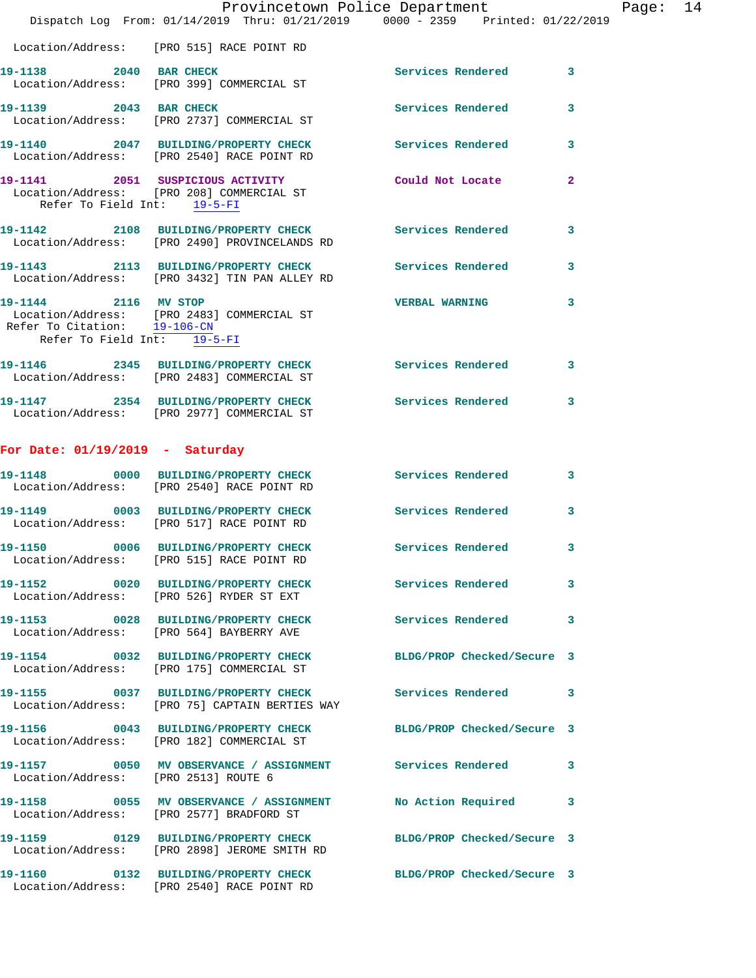|                                                                                     | Provincetown Police Department<br>Dispatch Log From: 01/14/2019 Thru: 01/21/2019 0000 - 2359 Printed: 01/22/2019 |                            |              |
|-------------------------------------------------------------------------------------|------------------------------------------------------------------------------------------------------------------|----------------------------|--------------|
|                                                                                     | Location/Address: [PRO 515] RACE POINT RD                                                                        |                            |              |
| 19-1138 2040 BAR CHECK                                                              | Location/Address: [PRO 399] COMMERCIAL ST                                                                        | <b>Services Rendered</b>   | 3            |
| 19-1139 2043 BAR CHECK                                                              | Location/Address: [PRO 2737] COMMERCIAL ST                                                                       | <b>Services Rendered</b>   | 3            |
|                                                                                     | 19-1140 2047 BUILDING/PROPERTY CHECK<br>Location/Address: [PRO 2540] RACE POINT RD                               | <b>Services Rendered</b>   | 3            |
| Refer To Field Int: 19-5-FI                                                         | 19-1141 2051 SUSPICIOUS ACTIVITY<br>Location/Address: [PRO 208] COMMERCIAL ST                                    | Could Not Locate           | $\mathbf{2}$ |
|                                                                                     | 19-1142 2108 BUILDING/PROPERTY CHECK Services Rendered<br>Location/Address: [PRO 2490] PROVINCELANDS RD          |                            | 3            |
|                                                                                     | 19-1143 2113 BUILDING/PROPERTY CHECK<br>Location/Address: [PRO 3432] TIN PAN ALLEY RD                            | <b>Services Rendered</b>   | 3            |
| 19-1144 2116 MV STOP<br>Refer To Citation: 19-106-CN<br>Refer To Field Int: 19-5-FI | Location/Address: [PRO 2483] COMMERCIAL ST                                                                       | <b>VERBAL WARNING</b>      | 3            |
|                                                                                     | 19-1146 2345 BUILDING/PROPERTY CHECK Services Rendered<br>Location/Address: [PRO 2483] COMMERCIAL ST             |                            | 3            |
|                                                                                     | 19-1147 2354 BUILDING/PROPERTY CHECK<br>Location/Address: [PRO 2977] COMMERCIAL ST                               | Services Rendered          | 3            |
| For Date: $01/19/2019$ - Saturday                                                   |                                                                                                                  |                            |              |
|                                                                                     | 19-1148 0000 BUILDING/PROPERTY CHECK<br>Location/Address: [PRO 2540] RACE POINT RD                               | <b>Services Rendered</b>   | 3            |
|                                                                                     | 19-1149 0003 BUILDING/PROPERTY CHECK<br>Location/Address: [PRO 517] RACE POINT RD                                | Services Rendered          | 3            |
| 0006<br>19-1150                                                                     | <b>BUILDING/PROPERTY CHECK</b><br>Location/Address: [PRO 515] RACE POINT RD                                      | Services Rendered          | 3            |
|                                                                                     | 19-1152 0020 BUILDING/PROPERTY CHECK<br>Location/Address: [PRO 526] RYDER ST EXT                                 | <b>Services Rendered</b>   | 3            |
|                                                                                     | 19-1153 0028 BUILDING/PROPERTY CHECK<br>Location/Address: [PRO 564] BAYBERRY AVE                                 | <b>Services Rendered</b>   | 3            |
|                                                                                     | 19-1154 0032 BUILDING/PROPERTY CHECK<br>Location/Address: [PRO 175] COMMERCIAL ST                                | BLDG/PROP Checked/Secure 3 |              |
|                                                                                     | 19-1155 0037 BUILDING/PROPERTY CHECK<br>Location/Address: [PRO 75] CAPTAIN BERTIES WAY                           | <b>Services Rendered</b>   | 3            |
|                                                                                     | 19-1156 0043 BUILDING/PROPERTY CHECK BLDG/PROP Checked/Secure 3<br>Location/Address: [PRO 182] COMMERCIAL ST     |                            |              |
| Location/Address: [PRO 2513] ROUTE 6                                                | 19-1157 0050 MV OBSERVANCE / ASSIGNMENT Services Rendered                                                        |                            | 3            |
|                                                                                     | 19-1158 0055 MV OBSERVANCE / ASSIGNMENT<br>Location/Address: [PRO 2577] BRADFORD ST                              | No Action Required         | 3            |
|                                                                                     | 19-1159 0129 BUILDING/PROPERTY CHECK BLDG/PROP Checked/Secure 3<br>Location/Address: [PRO 2898] JEROME SMITH RD  |                            |              |
|                                                                                     | 19-1160 0132 BUILDING/PROPERTY CHECK BLDG/PROP Checked/Secure 3<br>Location/Address: [PRO 2540] RACE POINT RD    |                            |              |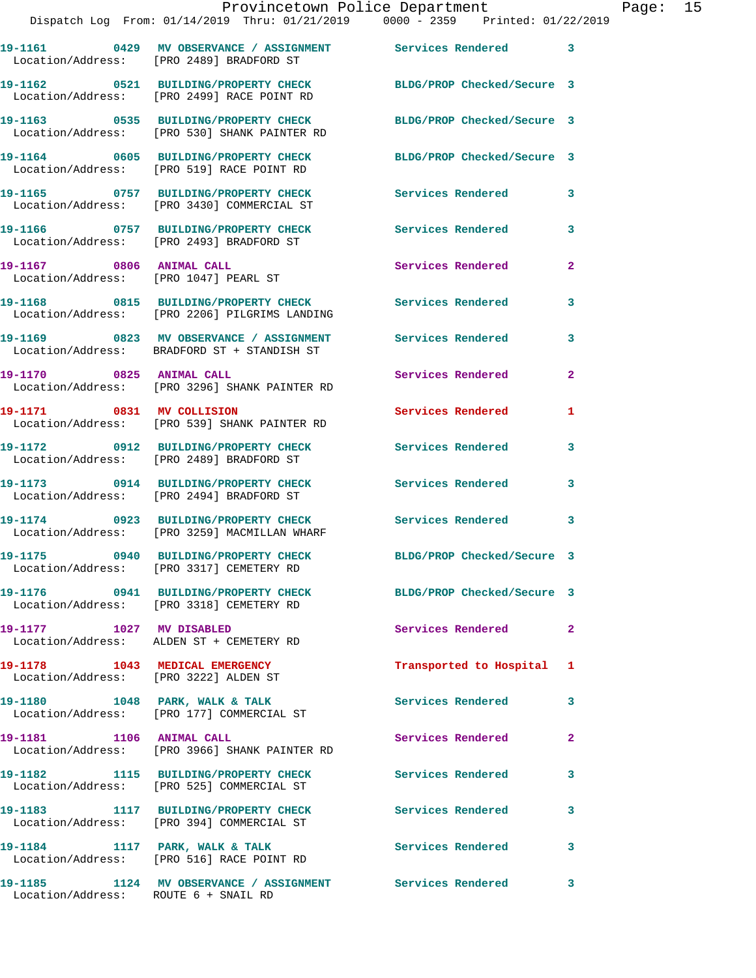|                                                                         | 19-1161 		 0429 MV OBSERVANCE / ASSIGNMENT Services Rendered 3<br>Location/Address: [PRO 2489] BRADFORD ST |                            |                |
|-------------------------------------------------------------------------|------------------------------------------------------------------------------------------------------------|----------------------------|----------------|
|                                                                         | 19-1162 0521 BUILDING/PROPERTY CHECK<br>Location/Address: [PRO 2499] RACE POINT RD                         | BLDG/PROP Checked/Secure 3 |                |
|                                                                         | 19-1163 0535 BUILDING/PROPERTY CHECK<br>Location/Address: [PRO 530] SHANK PAINTER RD                       | BLDG/PROP Checked/Secure 3 |                |
|                                                                         | 19-1164 0605 BUILDING/PROPERTY CHECK<br>Location/Address: [PRO 519] RACE POINT RD                          | BLDG/PROP Checked/Secure 3 |                |
|                                                                         | 19-1165 0757 BUILDING/PROPERTY CHECK<br>Location/Address: [PRO 3430] COMMERCIAL ST                         | Services Rendered          | 3              |
|                                                                         | 19-1166 0757 BUILDING/PROPERTY CHECK<br>Location/Address: [PRO 2493] BRADFORD ST                           | <b>Services Rendered</b>   | 3              |
| 19-1167 0806 ANIMAL CALL<br>Location/Address: [PRO 1047] PEARL ST       |                                                                                                            | Services Rendered          | $\overline{2}$ |
|                                                                         | 19-1168 0815 BUILDING/PROPERTY CHECK<br>Location/Address: [PRO 2206] PILGRIMS LANDING                      | Services Rendered          | 3              |
|                                                                         | 19-1169 0823 MV OBSERVANCE / ASSIGNMENT<br>Location/Address: BRADFORD ST + STANDISH ST                     | <b>Services Rendered</b>   | 3              |
| 19-1170 0825 ANIMAL CALL                                                | Location/Address: [PRO 3296] SHANK PAINTER RD                                                              | Services Rendered          | $\overline{2}$ |
| 19-1171 0831 MV COLLISION                                               | Location/Address: [PRO 539] SHANK PAINTER RD                                                               | Services Rendered          | 1              |
|                                                                         | 19-1172 0912 BUILDING/PROPERTY CHECK<br>Location/Address: [PRO 2489] BRADFORD ST                           | <b>Services Rendered</b>   | 3              |
|                                                                         | 19-1173 0914 BUILDING/PROPERTY CHECK<br>Location/Address: [PRO 2494] BRADFORD ST                           | <b>Services Rendered</b>   | 3              |
|                                                                         | 19-1174 0923 BUILDING/PROPERTY CHECK<br>Location/Address: [PRO 3259] MACMILLAN WHARF                       | <b>Services Rendered</b>   | 3              |
|                                                                         | 19-1175 0940 BUILDING/PROPERTY CHECK<br>Location/Address: [PRO 3317] CEMETERY RD                           | BLDG/PROP Checked/Secure 3 |                |
|                                                                         | 19-1176 0941 BUILDING/PROPERTY CHECK<br>Location/Address: [PRO 3318] CEMETERY RD                           | BLDG/PROP Checked/Secure 3 |                |
| 19-1177 1027 MV DISABLED                                                | Location/Address: ALDEN ST + CEMETERY RD                                                                   | Services Rendered          | $\mathbf{2}$   |
| 19-1178 1043 MEDICAL EMERGENCY<br>Location/Address: [PRO 3222] ALDEN ST |                                                                                                            | Transported to Hospital 1  |                |
| 19-1180 1048 PARK, WALK & TALK                                          | Location/Address: [PRO 177] COMMERCIAL ST                                                                  | Services Rendered          | 3              |
| 19-1181 1106 ANIMAL CALL                                                | Location/Address: [PRO 3966] SHANK PAINTER RD                                                              | <b>Services Rendered</b>   | $\mathbf{2}$   |
|                                                                         | 19-1182 1115 BUILDING/PROPERTY CHECK<br>Location/Address: [PRO 525] COMMERCIAL ST                          | <b>Services Rendered</b>   | $\mathbf{3}$   |
|                                                                         | 19-1183 1117 BUILDING/PROPERTY CHECK<br>Location/Address: [PRO 394] COMMERCIAL ST                          | <b>Services Rendered</b>   | 3              |
|                                                                         | 19-1184 1117 PARK, WALK & TALK<br>Location/Address: [PRO 516] RACE POINT RD                                | <b>Services Rendered</b>   | $\mathbf{3}$   |
| Location/Address: ROUTE 6 + SNAIL RD                                    | 19-1185 1124 MV OBSERVANCE / ASSIGNMENT Services Rendered                                                  |                            | $\mathbf{3}$   |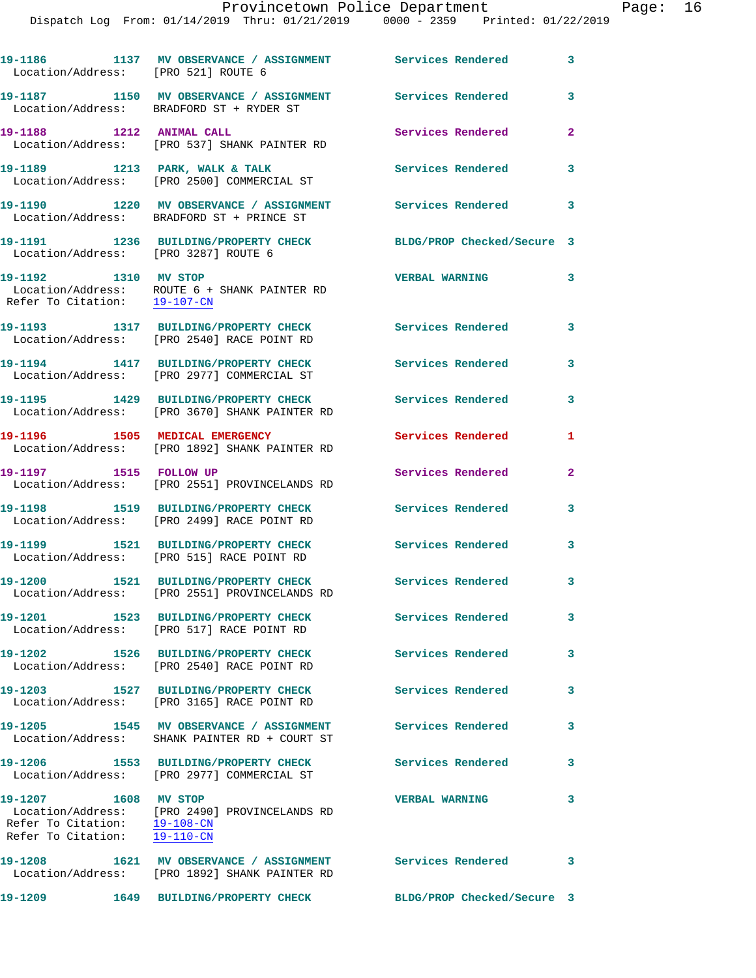## Provincetown Police Department Page: 16

Dispatch Log From: 01/14/2019 Thru: 01/21/2019 0000 - 2359 Printed: 01/22/2019

| Location/Address: [PRO 521] ROUTE 6                  | 19-1186 1137 MV OBSERVANCE / ASSIGNMENT Services Rendered                                              |                            | 3 |
|------------------------------------------------------|--------------------------------------------------------------------------------------------------------|----------------------------|---|
|                                                      | 19-1187 1150 MV OBSERVANCE / ASSIGNMENT<br>Location/Address: BRADFORD ST + RYDER ST                    | Services Rendered          | 3 |
| 19-1188 1212 ANIMAL CALL                             | Location/Address: [PRO 537] SHANK PAINTER RD                                                           | Services Rendered          | 2 |
|                                                      | 19-1189 1213 PARK, WALK & TALK<br>Location/Address: [PRO 2500] COMMERCIAL ST                           | Services Rendered          | 3 |
|                                                      | 19-1190 1220 MV OBSERVANCE / ASSIGNMENT Services Rendered<br>Location/Address: BRADFORD ST + PRINCE ST |                            | 3 |
| Location/Address: [PRO 3287] ROUTE 6                 | 19-1191 1236 BUILDING/PROPERTY CHECK                                                                   | BLDG/PROP Checked/Secure 3 |   |
| 19-1192 1310 MV STOP<br>Refer To Citation: 19-107-CN | Location/Address: ROUTE 6 + SHANK PAINTER RD                                                           | <b>VERBAL WARNING</b>      | 3 |
|                                                      | 19-1193 1317 BUILDING/PROPERTY CHECK<br>Location/Address: [PRO 2540] RACE POINT RD                     | Services Rendered          | 3 |
|                                                      | 19-1194 1417 BUILDING/PROPERTY CHECK<br>Location/Address: [PRO 2977] COMMERCIAL ST                     | Services Rendered          | 3 |
|                                                      | 19-1195 1429 BUILDING/PROPERTY CHECK<br>Location/Address: [PRO 3670] SHANK PAINTER RD                  | Services Rendered          | 3 |
|                                                      | 19-1196 1505 MEDICAL EMERGENCY<br>Location/Address: [PRO 1892] SHANK PAINTER RD                        | Services Rendered          | 1 |
| 19-1197 1515 FOLLOW UP                               | Location/Address: [PRO 2551] PROVINCELANDS RD                                                          | Services Rendered          | 2 |
|                                                      | 19-1198 1519 BUILDING/PROPERTY CHECK<br>Location/Address: [PRO 2499] RACE POINT RD                     | Services Rendered          | 3 |
|                                                      | 19-1199 1521 BUILDING/PROPERTY CHECK<br>Location/Address: [PRO 515] RACE POINT RD                      | Services Rendered          | 3 |
|                                                      | 19-1200 1521 BUILDING/PROPERTY CHECK<br>Location/Address: [PRO 2551] PROVINCELANDS RD                  | <b>Services Rendered</b>   | 3 |
| 19-1201                                              | 1523 BUILDING/PROPERTY CHECK<br>Location/Address: [PRO 517] RACE POINT RD                              | Services Rendered          | 3 |
|                                                      | 19-1202 1526 BUILDING/PROPERTY CHECK<br>Location/Address: [PRO 2540] RACE POINT RD                     | Services Rendered          | 3 |
|                                                      | 19-1203 1527 BUILDING/PROPERTY CHECK<br>Location/Address: [PRO 3165] RACE POINT RD                     | Services Rendered          | 3 |
|                                                      | 19-1205 1545 MV OBSERVANCE / ASSIGNMENT<br>Location/Address: SHANK PAINTER RD + COURT ST               | Services Rendered          | 3 |
| 19-1206                                              | 1553 BUILDING/PROPERTY CHECK<br>Location/Address: [PRO 2977] COMMERCIAL ST                             | <b>Services Rendered</b>   | 3 |
| 19-1207 1608 MV STOP<br>Refer To Citation: 19-110-CN | Location/Address: [PRO 2490] PROVINCELANDS RD<br>Refer To Citation: 19-108-CN                          | <b>VERBAL WARNING</b>      | 3 |
|                                                      | 19-1208 1621 MV OBSERVANCE / ASSIGNMENT<br>Location/Address: [PRO 1892] SHANK PAINTER RD               | Services Rendered          | 3 |
| 19-1209                                              | 1649 BUILDING/PROPERTY CHECK                                                                           | BLDG/PROP Checked/Secure 3 |   |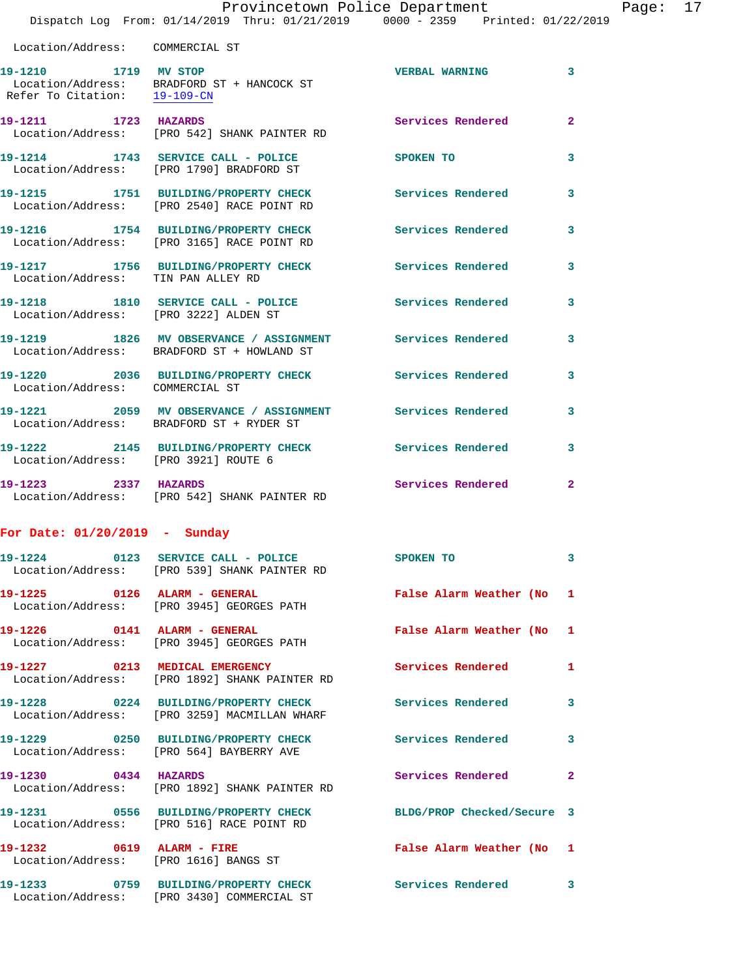| Location/Address: COMMERCIAL ST       |                                                                                                       |                          |                         |
|---------------------------------------|-------------------------------------------------------------------------------------------------------|--------------------------|-------------------------|
| 19-1210 1719 MV STOP                  | Location/Address: BRADFORD ST + HANCOCK ST<br>Refer To Citation: $\frac{19-109-CN}{\pi}$              | <b>VERBAL WARNING</b>    | $\overline{3}$          |
| 19-1211 1723 HAZARDS                  | Location/Address: [PRO 542] SHANK PAINTER RD                                                          | Services Rendered        | $\overline{2}$          |
|                                       | 19-1214 1743 SERVICE CALL - POLICE<br>Location/Address: [PRO 1790] BRADFORD ST                        | SPOKEN TO                | $\overline{\mathbf{3}}$ |
|                                       | 19-1215 1751 BUILDING/PROPERTY CHECK<br>Location/Address: [PRO 2540] RACE POINT RD                    | Services Rendered        | 3                       |
|                                       | 19-1216 1754 BUILDING/PROPERTY CHECK<br>Location/Address: [PRO 3165] RACE POINT RD                    | <b>Services Rendered</b> | 3                       |
| Location/Address: TIN PAN ALLEY RD    | 19-1217 1756 BUILDING/PROPERTY CHECK                                                                  | <b>Services Rendered</b> | 3                       |
| Location/Address: [PRO 3222] ALDEN ST | 19-1218 1810 SERVICE CALL - POLICE                                                                    | <b>Services Rendered</b> | 3                       |
|                                       | 19-1219 1826 MV OBSERVANCE / ASSIGNMENT<br>Location/Address: BRADFORD ST + HOWLAND ST                 | <b>Services Rendered</b> | 3                       |
| Location/Address: COMMERCIAL ST       | 19-1220 2036 BUILDING/PROPERTY CHECK                                                                  | Services Rendered        | 3                       |
|                                       | 19-1221 2059 MV OBSERVANCE / ASSIGNMENT Services Rendered<br>Location/Address: BRADFORD ST + RYDER ST |                          | 3                       |
| Location/Address: [PRO 3921] ROUTE 6  | 19-1222 2145 BUILDING/PROPERTY CHECK                                                                  | Services Rendered        | $\overline{\mathbf{3}}$ |
| 19-1223 2337 HAZARDS                  | Location/Address: [PRO 542] SHANK PAINTER RD                                                          | Services Rendered        | $\overline{2}$          |

## **For Date: 01/20/2019 - Sunday**

|                                                                    | Location/Address: [PRO 539] SHANK PAINTER RD                                                                               | <b>SPOKEN TO</b>          | $\overline{3}$ |
|--------------------------------------------------------------------|----------------------------------------------------------------------------------------------------------------------------|---------------------------|----------------|
| 19-1225  0126  ALARM - GENERAL                                     | Location/Address: [PRO 3945] GEORGES PATH                                                                                  | False Alarm Weather (No 1 |                |
|                                                                    | Location/Address: [PRO 3945] GEORGES PATH                                                                                  | False Alarm Weather (No 1 |                |
| Location/Address:                                                  | [PRO 1892] SHANK PAINTER RD                                                                                                | <b>Services Rendered</b>  | $\mathbf{1}$   |
|                                                                    | Location/Address: [PRO 3259] MACMILLAN WHARF                                                                               | <b>Services Rendered</b>  | $\mathbf{3}$   |
|                                                                    | 19-1229 0250 BUILDING/PROPERTY CHECK<br>Location/Address: [PRO 564] BAYBERRY AVE                                           | <b>Services Rendered</b>  | $\mathbf{3}$   |
| 19-1230 0434 HAZARDS                                               | Location/Address: [PRO 1892] SHANK PAINTER RD                                                                              | Services Rendered         | $\overline{2}$ |
|                                                                    | 19-1231       0556  BUILDING/PROPERTY CHECK        BLDG/PROP Checked/Secure 3<br>Location/Address: [PRO 516] RACE POINT RD |                           |                |
| 19-1232 0619 ALARM - FIRE<br>Location/Address: [PRO 1616] BANGS ST |                                                                                                                            | False Alarm Weather (No 1 |                |
|                                                                    | 19-1233 0759 BUILDING/PROPERTY CHECK<br>Location/Address: [PRO 3430] COMMERCIAL ST                                         | Services Rendered         | $\mathbf{3}$   |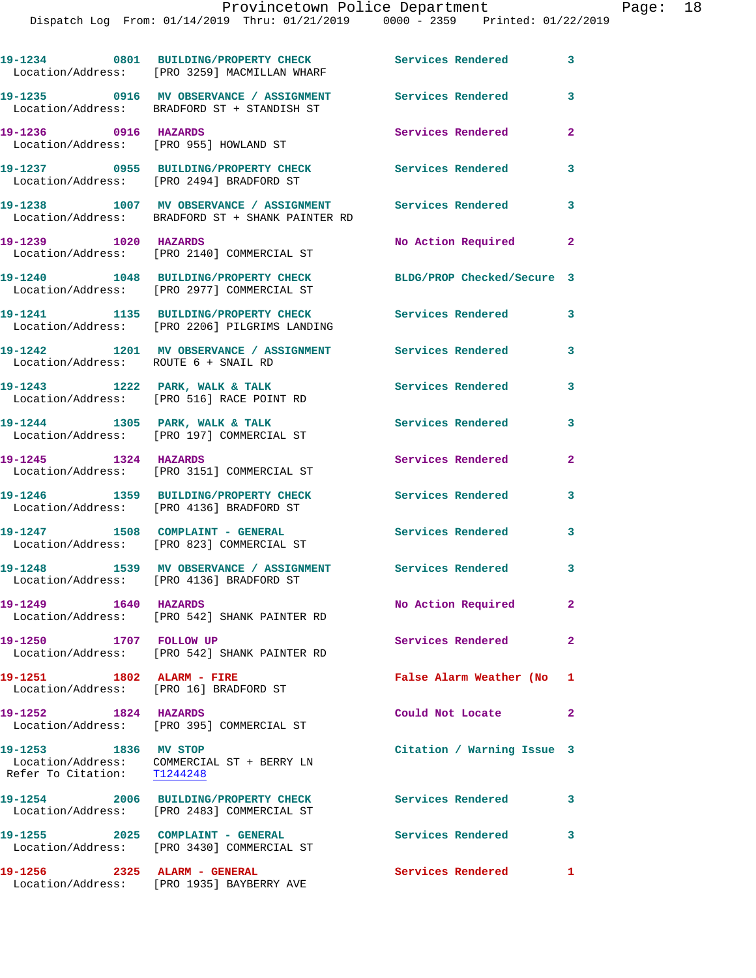|                                      | 19-1234 0801 BUILDING/PROPERTY CHECK Services Rendered 3<br>Location/Address: [PRO 3259] MACMILLAN WHARF |                            |                            |
|--------------------------------------|----------------------------------------------------------------------------------------------------------|----------------------------|----------------------------|
|                                      | 19-1235 0916 MV OBSERVANCE / ASSIGNMENT<br>Location/Address: BRADFORD ST + STANDISH ST                   | <b>Services Rendered</b>   | 3                          |
| 19-1236 0916 HAZARDS                 | Location/Address: [PRO 955] HOWLAND ST                                                                   | Services Rendered          | $\overline{2}$             |
|                                      | 19-1237 0955 BUILDING/PROPERTY CHECK<br>Location/Address: [PRO 2494] BRADFORD ST                         | Services Rendered          | 3                          |
|                                      | 19-1238 1007 MV OBSERVANCE / ASSIGNMENT<br>Location/Address: BRADFORD ST + SHANK PAINTER RD              | Services Rendered          | 3                          |
| 19-1239 1020 HAZARDS                 | Location/Address: [PRO 2140] COMMERCIAL ST                                                               | No Action Required         | $\overline{\phantom{0}}$ 2 |
|                                      | 19-1240 1048 BUILDING/PROPERTY CHECK<br>Location/Address: [PRO 2977] COMMERCIAL ST                       | BLDG/PROP Checked/Secure 3 |                            |
|                                      | 19-1241 1135 BUILDING/PROPERTY CHECK Services Rendered<br>Location/Address: [PRO 2206] PILGRIMS LANDING  |                            | 3                          |
| Location/Address: ROUTE 6 + SNAIL RD | 19-1242 1201 MV OBSERVANCE / ASSIGNMENT Services Rendered                                                |                            | 3                          |
|                                      | 19-1243 1222 PARK, WALK & TALK<br>Location/Address: [PRO 516] RACE POINT RD                              | <b>Services Rendered</b>   | 3                          |
|                                      | 19-1244 1305 PARK, WALK & TALK<br>Location/Address: [PRO 197] COMMERCIAL ST                              | Services Rendered          | 3                          |
| 19-1245 1324 HAZARDS                 | Location/Address: [PRO 3151] COMMERCIAL ST                                                               | Services Rendered          | $\mathbf{2}$               |
|                                      | 19-1246 1359 BUILDING/PROPERTY CHECK<br>Location/Address: [PRO 4136] BRADFORD ST                         | <b>Services Rendered</b>   | 3                          |
|                                      | 19-1247 1508 COMPLAINT - GENERAL<br>Location/Address: [PRO 823] COMMERCIAL ST                            | Services Rendered          | 3                          |
|                                      | 19-1248 1539 MV OBSERVANCE / ASSIGNMENT Services Rendered<br>Location/Address: [PRO 4136] BRADFORD ST    |                            | $\overline{\phantom{a}}$ 3 |
| 19-1249 1640 HAZARDS                 | Location/Address: [PRO 542] SHANK PAINTER RD                                                             | No Action Required         | $\mathbf{2}$               |
| 19-1250 1707 FOLLOW UP               | Location/Address: [PRO 542] SHANK PAINTER RD                                                             | Services Rendered          | $\mathbf{2}$               |
| 19-1251 1802 ALARM - FIRE            | Location/Address: [PRO 16] BRADFORD ST                                                                   | False Alarm Weather (No 1  |                            |
| 19-1252 1824 HAZARDS                 | Location/Address: [PRO 395] COMMERCIAL ST                                                                | Could Not Locate           | $\mathbf{2}$               |
| 19-1253 1836 MV STOP                 | Location/Address: COMMERCIAL ST + BERRY LN<br>Refer To Citation: T1244248                                | Citation / Warning Issue 3 |                            |
|                                      | 19-1254 2006 BUILDING/PROPERTY CHECK<br>Location/Address: [PRO 2483] COMMERCIAL ST                       | <b>Services Rendered</b>   | 3                          |
| 19-1255 2025 COMPLAINT - GENERAL     | Location/Address: [PRO 3430] COMMERCIAL ST                                                               | <b>Services Rendered</b>   | 3                          |
|                                      |                                                                                                          |                            |                            |

**19-1256 2325 ALARM - GENERAL Services Rendered 1** 

Location/Address: [PRO 1935] BAYBERRY AVE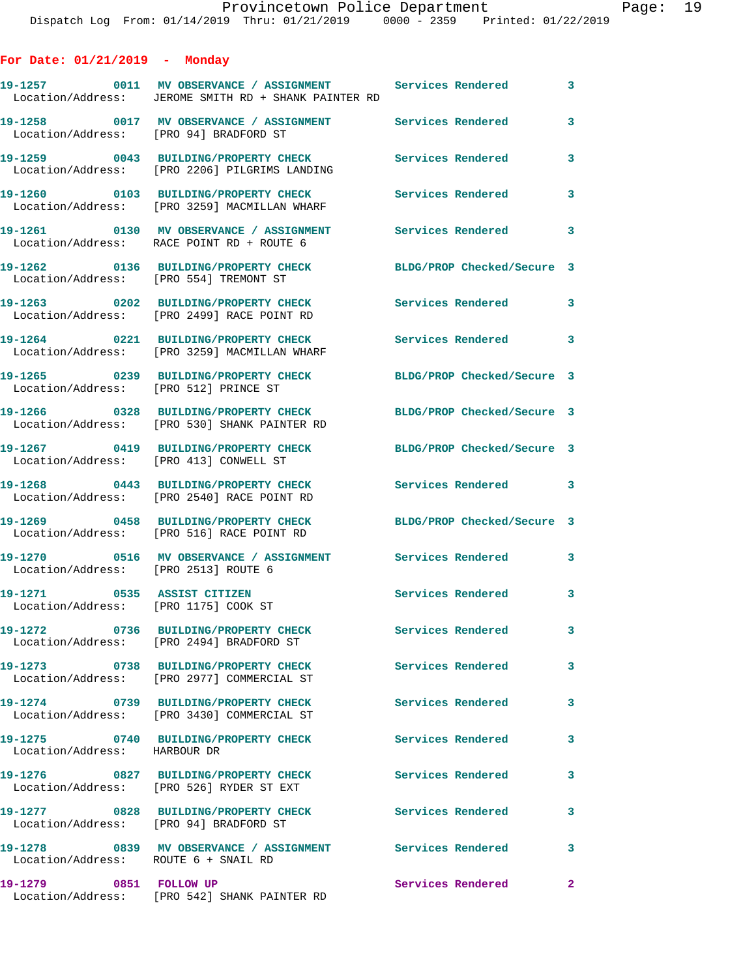| For Date: 01/21/2019<br>Monday |  |
|--------------------------------|--|
|--------------------------------|--|

|                                                                     | 19-1257 0011 MV OBSERVANCE / ASSIGNMENT Services Rendered 3<br>Location/Address: JEROME SMITH RD + SHANK PAINTER RD |                            |              |
|---------------------------------------------------------------------|---------------------------------------------------------------------------------------------------------------------|----------------------------|--------------|
| Location/Address: [PRO 94] BRADFORD ST                              |                                                                                                                     |                            | 3            |
|                                                                     | 19-1259 0043 BUILDING/PROPERTY CHECK Services Rendered<br>Location/Address: [PRO 2206] PILGRIMS LANDING             |                            | 3            |
|                                                                     | 19-1260 0103 BUILDING/PROPERTY CHECK<br>Location/Address: [PRO 3259] MACMILLAN WHARF                                | Services Rendered          | $\mathbf{3}$ |
|                                                                     | Location/Address: RACE POINT RD + ROUTE 6                                                                           |                            |              |
| Location/Address: [PRO 554] TREMONT ST                              | 19-1262 0136 BUILDING/PROPERTY CHECK                                                                                | BLDG/PROP Checked/Secure 3 |              |
|                                                                     | 19-1263 0202 BUILDING/PROPERTY CHECK<br>Location/Address: [PRO 2499] RACE POINT RD                                  | <b>Services Rendered</b>   | $\mathbf{3}$ |
|                                                                     | 19-1264 0221 BUILDING/PROPERTY CHECK<br>Location/Address: [PRO 3259] MACMILLAN WHARF                                | Services Rendered 3        |              |
| Location/Address: [PRO 512] PRINCE ST                               | 19-1265 0239 BUILDING/PROPERTY CHECK                                                                                | BLDG/PROP Checked/Secure 3 |              |
|                                                                     | 19-1266 0328 BUILDING/PROPERTY CHECK<br>Location/Address: [PRO 530] SHANK PAINTER RD                                | BLDG/PROP Checked/Secure 3 |              |
| Location/Address: [PRO 413] CONWELL ST                              | 19-1267 0419 BUILDING/PROPERTY CHECK                                                                                | BLDG/PROP Checked/Secure 3 |              |
|                                                                     | 19-1268 0443 BUILDING/PROPERTY CHECK<br>Location/Address: [PRO 2540] RACE POINT RD                                  | Services Rendered 3        |              |
|                                                                     | 19-1269 0458 BUILDING/PROPERTY CHECK<br>Location/Address: [PRO 516] RACE POINT RD                                   | BLDG/PROP Checked/Secure 3 |              |
| Location/Address: [PRO 2513] ROUTE 6                                | 19-1270 0516 MV OBSERVANCE / ASSIGNMENT Services Rendered 3                                                         |                            |              |
| 19-1271 0535 ASSIST CITIZEN<br>Location/Address: [PRO 1175] COOK ST |                                                                                                                     | Services Rendered 3        |              |
|                                                                     | 19-1272 0736 BUILDING/PROPERTY CHECK<br>Location/Address: [PRO 2494] BRADFORD ST                                    | <b>Services Rendered</b>   |              |
|                                                                     | 19-1273 0738 BUILDING/PROPERTY CHECK<br>Location/Address: [PRO 2977] COMMERCIAL ST                                  | Services Rendered          | $\mathbf{3}$ |
|                                                                     | 19-1274 0739 BUILDING/PROPERTY CHECK<br>Location/Address: [PRO 3430] COMMERCIAL ST                                  | Services Rendered          | 3            |
| Location/Address: HARBOUR DR                                        | 19-1275 0740 BUILDING/PROPERTY CHECK                                                                                | <b>Services Rendered</b>   | 3            |
|                                                                     | 19-1276 0827 BUILDING/PROPERTY CHECK<br>Location/Address: [PRO 526] RYDER ST EXT                                    | Services Rendered          | $\mathbf{3}$ |
| Location/Address: [PRO 94] BRADFORD ST                              | 19-1277 0828 BUILDING/PROPERTY CHECK                                                                                | <b>Services Rendered</b>   | 3            |
| Location/Address: ROUTE 6 + SNAIL RD                                | 19-1278 6839 MV OBSERVANCE / ASSIGNMENT Services Rendered                                                           |                            | $\mathbf{3}$ |
| 19-1279 0851 FOLLOW UP                                              | Location/Address: [PRO 542] SHANK PAINTER RD                                                                        | Services Rendered          | $\mathbf{2}$ |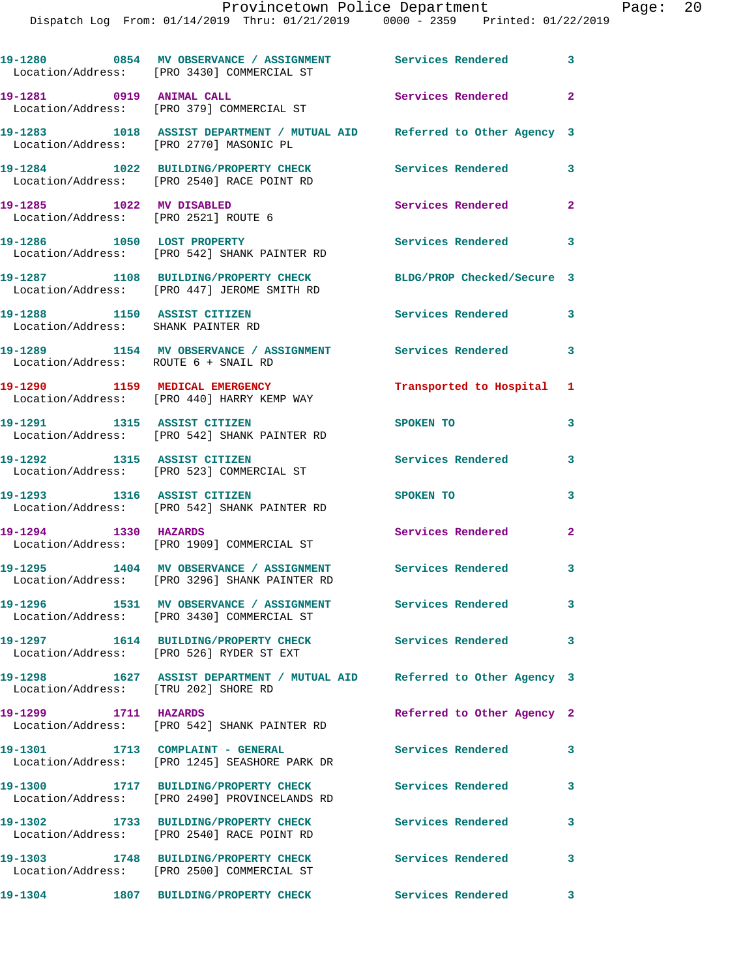|                                                                   | 19-1280 0854 MV OBSERVANCE / ASSIGNMENT Services Rendered 3<br>Location/Address: [PRO 3430] COMMERCIAL ST         |                            |                         |
|-------------------------------------------------------------------|-------------------------------------------------------------------------------------------------------------------|----------------------------|-------------------------|
| 19-1281 0919 ANIMAL CALL                                          | Location/Address: [PRO 379] COMMERCIAL ST                                                                         | <b>Services Rendered</b>   | $\mathbf{2}$            |
|                                                                   | 19-1283 1018 ASSIST DEPARTMENT / MUTUAL AID Referred to Other Agency 3<br>Location/Address: [PRO 2770] MASONIC PL |                            |                         |
|                                                                   | 19-1284 1022 BUILDING/PROPERTY CHECK<br>Location/Address: [PRO 2540] RACE POINT RD                                | <b>Services Rendered</b>   | $\overline{\mathbf{3}}$ |
| 19-1285 1022 MV DISABLED<br>Location/Address: [PRO 2521] ROUTE 6  |                                                                                                                   | Services Rendered          | $\overline{2}$          |
|                                                                   | 19-1286 1050 LOST PROPERTY<br>Location/Address: [PRO 542] SHANK PAINTER RD                                        | <b>Services Rendered</b>   | 3                       |
|                                                                   | 19-1287 1108 BUILDING/PROPERTY CHECK<br>Location/Address: [PRO 447] JEROME SMITH RD                               | BLDG/PROP Checked/Secure 3 |                         |
| 19-1288 1150 ASSIST CITIZEN<br>Location/Address: SHANK PAINTER RD |                                                                                                                   | Services Rendered          | $\overline{\mathbf{3}}$ |
| Location/Address: ROUTE 6 + SNAIL RD                              | 19-1289 1154 MV OBSERVANCE / ASSIGNMENT Services Rendered                                                         |                            | $\overline{\mathbf{3}}$ |
|                                                                   | 19-1290 1159 MEDICAL EMERGENCY<br>Location/Address: [PRO 440] HARRY KEMP WAY                                      | Transported to Hospital 1  |                         |
| 19-1291 1315 ASSIST CITIZEN                                       | Location/Address: [PRO 542] SHANK PAINTER RD                                                                      | SPOKEN TO                  | 3                       |
|                                                                   | 19-1292 1315 ASSIST CITIZEN<br>Location/Address: [PRO 523] COMMERCIAL ST                                          | Services Rendered          | 3                       |
| 19-1293 1316 ASSIST CITIZEN                                       | Location/Address: [PRO 542] SHANK PAINTER RD                                                                      | SPOKEN TO                  | 3                       |
| 19-1294 1330 HAZARDS                                              | Location/Address: [PRO 1909] COMMERCIAL ST                                                                        | Services Rendered 2        |                         |
|                                                                   | 19-1295 1404 MV OBSERVANCE / ASSIGNMENT Services Rendered<br>Location/Address: [PRO 3296] SHANK PAINTER RD        |                            | 3                       |
|                                                                   | 19-1296 1531 MV OBSERVANCE / ASSIGNMENT Services Rendered<br>Location/Address: [PRO 3430] COMMERCIAL ST           |                            | 3                       |
|                                                                   | 19-1297 1614 BUILDING/PROPERTY CHECK Services Rendered 3<br>Location/Address: [PRO 526] RYDER ST EXT              |                            |                         |
|                                                                   | 19-1298 1627 ASSIST DEPARTMENT / MUTUAL AID Referred to Other Agency 3<br>Location/Address: [TRU 202] SHORE RD    |                            |                         |
| 19-1299 1711 HAZARDS                                              | Location/Address: [PRO 542] SHANK PAINTER RD                                                                      | Referred to Other Agency 2 |                         |
|                                                                   | 19-1301 1713 COMPLAINT - GENERAL<br>Location/Address: [PRO 1245] SEASHORE PARK DR                                 | Services Rendered          | 3                       |
|                                                                   | 19-1300 1717 BUILDING/PROPERTY CHECK<br>Location/Address: [PRO 2490] PROVINCELANDS RD                             | <b>Services Rendered</b>   | 3                       |
|                                                                   | 19-1302 1733 BUILDING/PROPERTY CHECK<br>Location/Address: [PRO 2540] RACE POINT RD                                | Services Rendered          | 3                       |
|                                                                   | 19-1303 1748 BUILDING/PROPERTY CHECK<br>Location/Address: [PRO 2500] COMMERCIAL ST                                | <b>Services Rendered</b>   | 3                       |
| 19-1304                                                           | 1807 BUILDING/PROPERTY CHECK                                                                                      | Services Rendered 3        |                         |